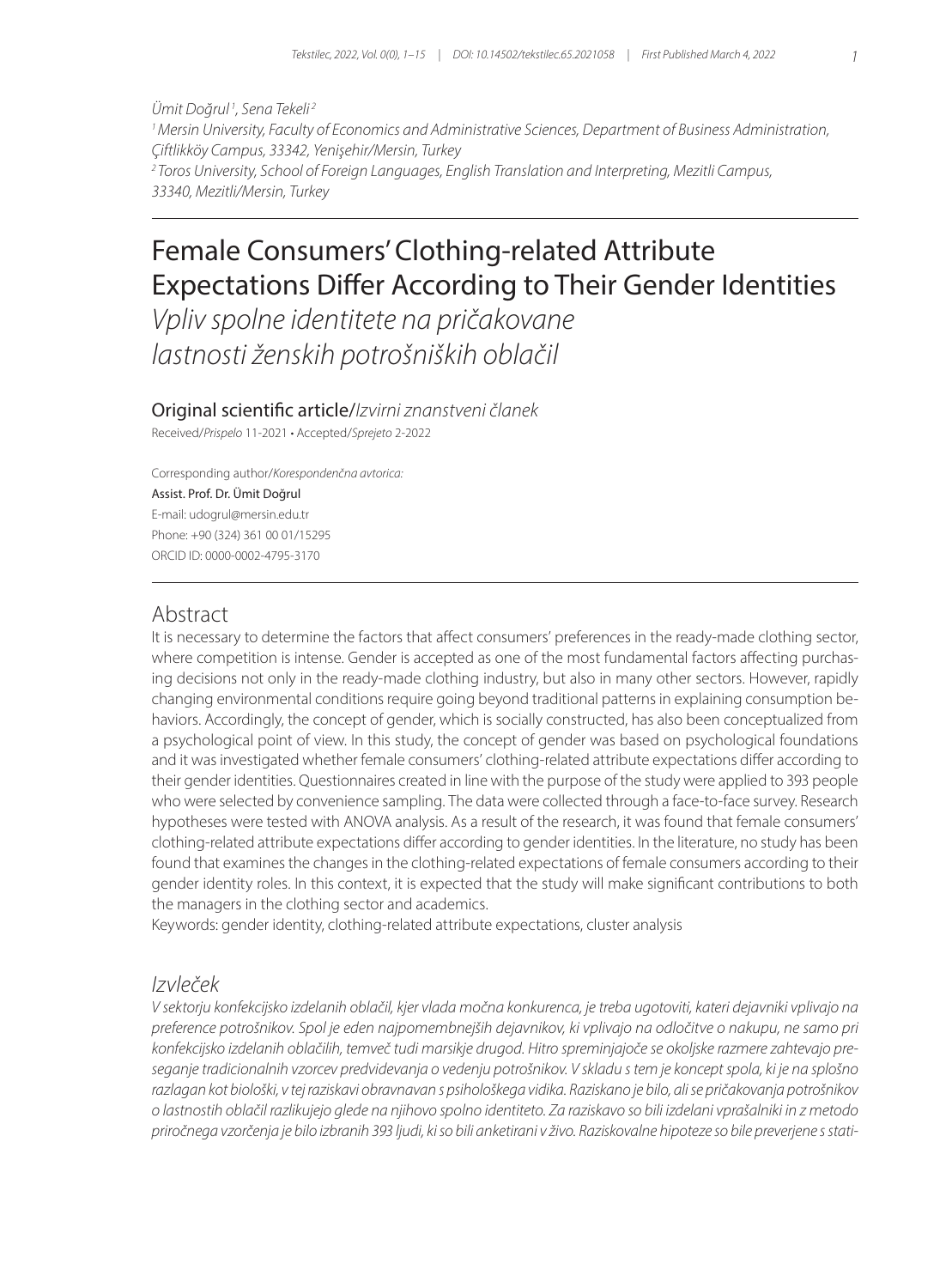*Ümit Doğrul <sup>1</sup> , Sena Tekeli <sup>2</sup> 1 Mersin University, Faculty of Economics and Administrative Sciences, Department of Business Administration, Çiftlikköy Campus, 33342, Yenişehir/Mersin, Turkey 2 Toros University, School of Foreign Languages, English Translation and Interpreting, Mezitli Campus, 33340, Mezitli/Mersin, Turkey*

# Female Consumers' Clothing-related Attribute Expectations Differ According to Their Gender Identities

*Vpliv spolne identitete na pričakovane lastnosti ženskih potrošniških oblačil*

Original scientific article/*Izvirni znanstveni članek* Received/*Prispelo* 11-2021 • Accepted/*Sprejeto* 2-2022

Corresponding author/*Korespondenčna avtorica:* Assist. Prof. Dr. Ümit Doğrul E-mail: udogrul@mersin.edu.tr Phone: +90 (324) 361 00 01/15295 ORCID ID: 0000-0002-4795-3170

## Abstract

It is necessary to determine the factors that affect consumers' preferences in the ready-made clothing sector, where competition is intense. Gender is accepted as one of the most fundamental factors affecting purchasing decisions not only in the ready-made clothing industry, but also in many other sectors. However, rapidly changing environmental conditions require going beyond traditional patterns in explaining consumption behaviors. Accordingly, the concept of gender, which is socially constructed, has also been conceptualized from a psychological point of view. In this study, the concept of gender was based on psychological foundations and it was investigated whether female consumers' clothing-related attribute expectations differ according to their gender identities. Questionnaires created in line with the purpose of the study were applied to 393 people who were selected by convenience sampling. The data were collected through a face-to-face survey. Research hypotheses were tested with ANOVA analysis. As a result of the research, it was found that female consumers' clothing-related attribute expectations differ according to gender identities. In the literature, no study has been found that examines the changes in the clothing-related expectations of female consumers according to their gender identity roles. In this context, it is expected that the study will make significant contributions to both the managers in the clothing sector and academics.

Keywords: gender identity, clothing-related attribute expectations, cluster analysis

## *Izvleček*

*V sektorju konfekcijsko izdelanih oblačil, kjer vlada močna konkurenca, je treba ugotoviti, kateri dejavniki vplivajo na preference potrošnikov. Spol je eden najpomembnejših dejavnikov, ki vplivajo na odločitve o nakupu, ne samo pri konfekcijsko izdelanih oblačilih, temveč tudi marsikje drugod. Hitro spreminjajoče se okoljske razmere zahtevajo preseganje tradicionalnih vzorcev predvidevanja o vedenju potrošnikov. V skladu s tem je koncept spola, ki je na splošno razlagan kot biološki, v tej raziskavi obravnavan s psihološkega vidika. Raziskano je bilo, ali se pričakovanja potrošnikov o lastnostih oblačil razlikujejo glede na njihovo spolno identiteto. Za raziskavo so bili izdelani vprašalniki in z metodo priročnega vzorčenja je bilo izbranih 393 ljudi, ki so bili anketirani v živo. Raziskovalne hipoteze so bile preverjene s stati-*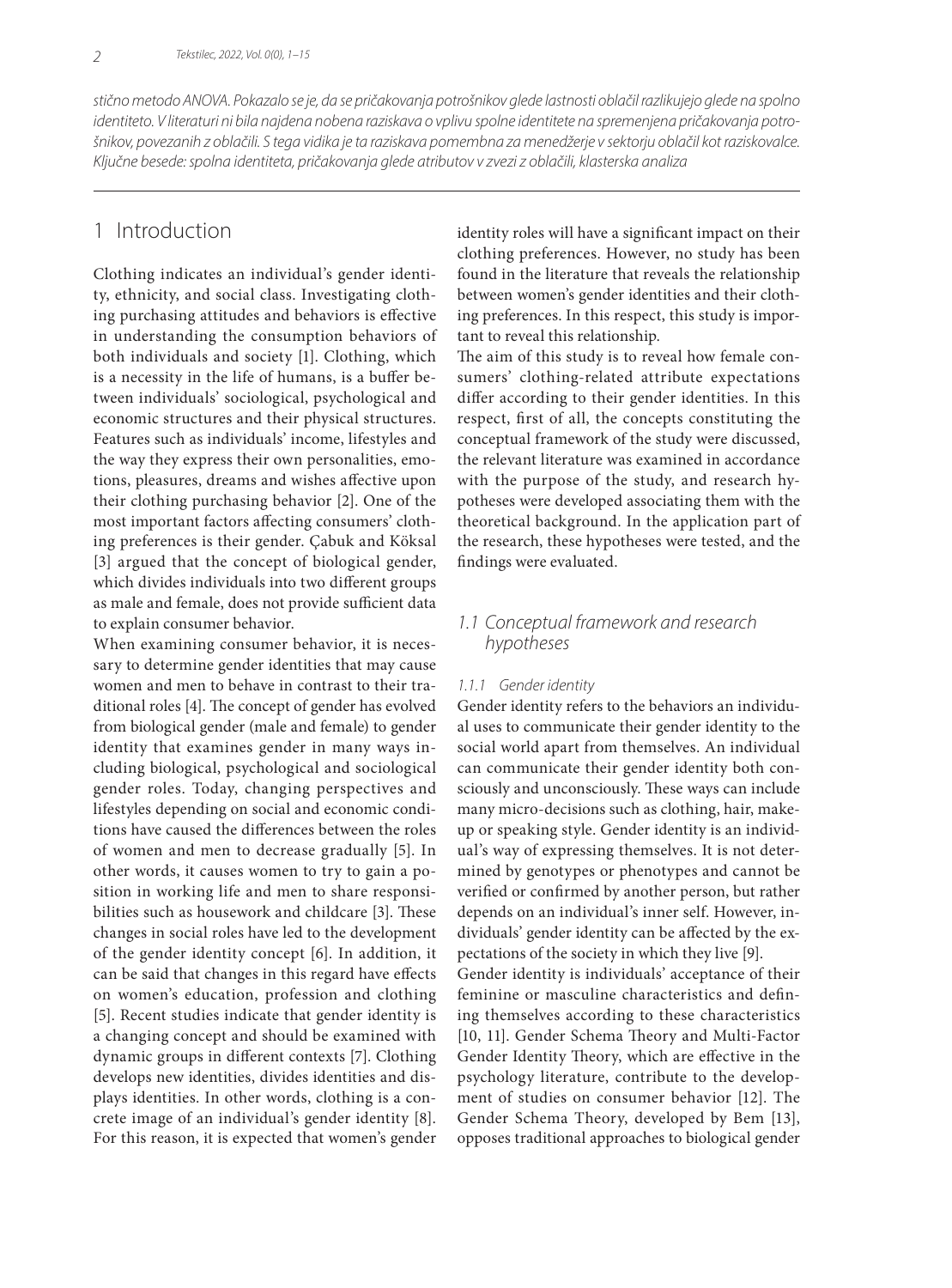*stično metodo ANOVA. Pokazalo se je, da se pričakovanja potrošnikov glede lastnosti oblačil razlikujejo glede na spolno identiteto. V literaturi ni bila najdena nobena raziskava o vplivu spolne identitete na spremenjena pričakovanja potrošnikov, povezanih z oblačili. S tega vidika je ta raziskava pomembna za menedžerje v sektorju oblačil kot raziskovalce. Ključne besede: spolna identiteta, pričakovanja glede atributov v zvezi z oblačili, klasterska analiza*

## 1 Introduction

Clothing indicates an individual's gender identity, ethnicity, and social class. Investigating clothing purchasing attitudes and behaviors is effective in understanding the consumption behaviors of both individuals and society [1]. Clothing, which is a necessity in the life of humans, is a buffer between individuals' sociological, psychological and economic structures and their physical structures. Features such as individuals' income, lifestyles and the way they express their own personalities, emotions, pleasures, dreams and wishes affective upon their clothing purchasing behavior [2]. One of the most important factors affecting consumers' clothing preferences is their gender. Çabuk and Köksal [3] argued that the concept of biological gender, which divides individuals into two different groups as male and female, does not provide sufficient data to explain consumer behavior.

When examining consumer behavior, it is necessary to determine gender identities that may cause women and men to behave in contrast to their traditional roles [4]. The concept of gender has evolved from biological gender (male and female) to gender identity that examines gender in many ways including biological, psychological and sociological gender roles. Today, changing perspectives and lifestyles depending on social and economic conditions have caused the differences between the roles of women and men to decrease gradually [5]. In other words, it causes women to try to gain a position in working life and men to share responsibilities such as housework and childcare [3]. These changes in social roles have led to the development of the gender identity concept [6]. In addition, it can be said that changes in this regard have effects on women's education, profession and clothing [5]. Recent studies indicate that gender identity is a changing concept and should be examined with dynamic groups in different contexts [7]. Clothing develops new identities, divides identities and displays identities. In other words, clothing is a concrete image of an individual's gender identity [8]. For this reason, it is expected that women's gender identity roles will have a significant impact on their clothing preferences. However, no study has been found in the literature that reveals the relationship between women's gender identities and their clothing preferences. In this respect, this study is important to reveal this relationship.

The aim of this study is to reveal how female consumers' clothing-related attribute expectations differ according to their gender identities. In this respect, first of all, the concepts constituting the conceptual framework of the study were discussed, the relevant literature was examined in accordance with the purpose of the study, and research hypotheses were developed associating them with the theoretical background. In the application part of the research, these hypotheses were tested, and the findings were evaluated.

## *1.1 Conceptual framework and research hypotheses*

#### *1.1.1 Gender identity*

Gender identity refers to the behaviors an individual uses to communicate their gender identity to the social world apart from themselves. An individual can communicate their gender identity both consciously and unconsciously. These ways can include many micro-decisions such as clothing, hair, makeup or speaking style. Gender identity is an individual's way of expressing themselves. It is not determined by genotypes or phenotypes and cannot be verified or confirmed by another person, but rather depends on an individual's inner self. However, individuals' gender identity can be affected by the expectations of the society in which they live [9]. Gender identity is individuals' acceptance of their feminine or masculine characteristics and defining themselves according to these characteristics [10, 11]. Gender Schema Theory and Multi-Factor Gender Identity Theory, which are effective in the psychology literature, contribute to the development of studies on consumer behavior [12]. The Gender Schema Theory, developed by Bem [13], opposes traditional approaches to biological gender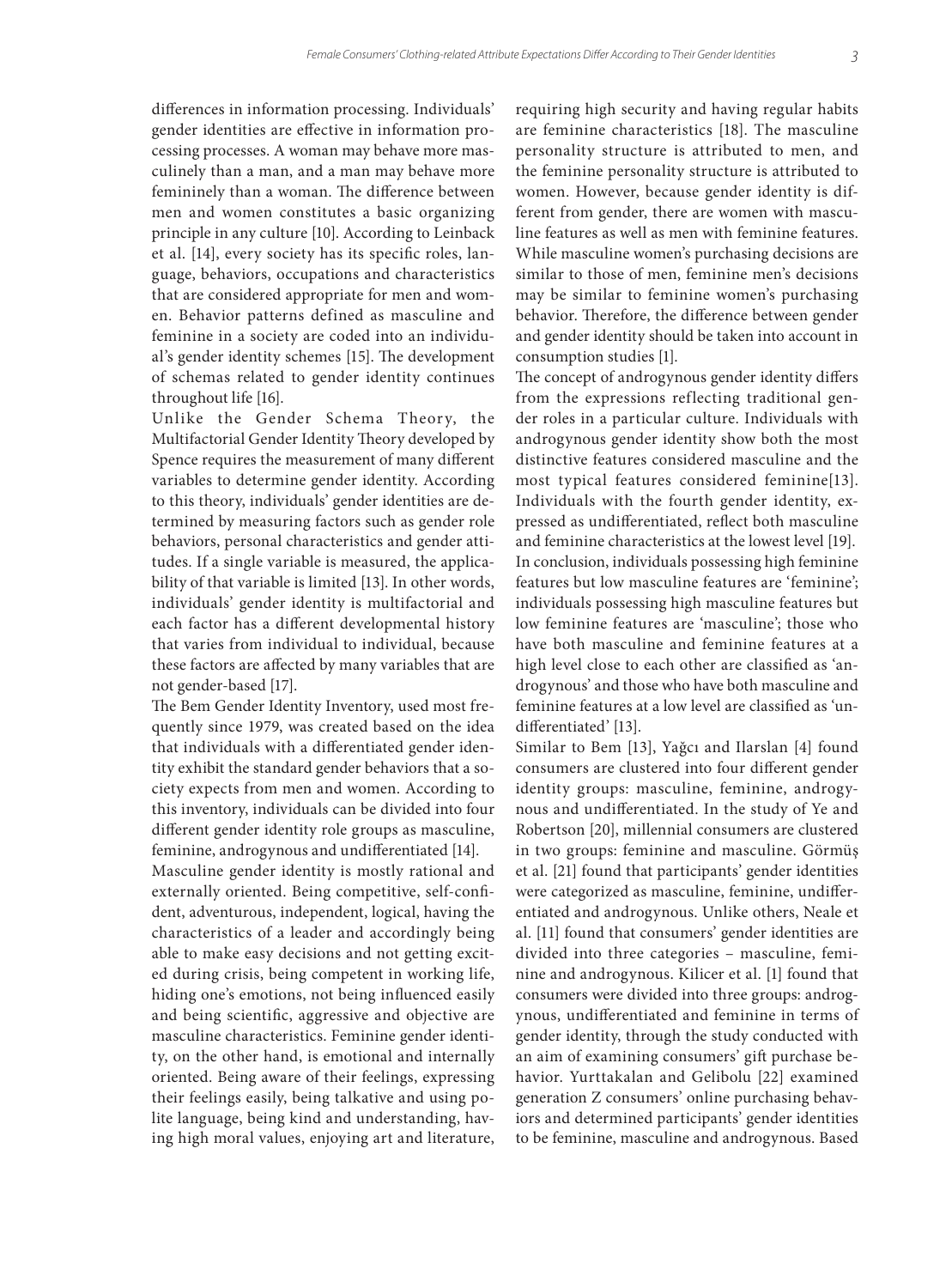differences in information processing. Individuals' gender identities are effective in information processing processes. A woman may behave more masculinely than a man, and a man may behave more femininely than a woman. The difference between men and women constitutes a basic organizing principle in any culture [10]. According to Leinback et al. [14], every society has its specific roles, language, behaviors, occupations and characteristics that are considered appropriate for men and women. Behavior patterns defined as masculine and feminine in a society are coded into an individual's gender identity schemes [15]. The development of schemas related to gender identity continues throughout life [16].

Unlike the Gender Schema Theory, the Multifactorial Gender Identity Theory developed by Spence requires the measurement of many different variables to determine gender identity. According to this theory, individuals' gender identities are determined by measuring factors such as gender role behaviors, personal characteristics and gender attitudes. If a single variable is measured, the applicability of that variable is limited [13]. In other words, individuals' gender identity is multifactorial and each factor has a different developmental history that varies from individual to individual, because these factors are affected by many variables that are not gender-based [17].

The Bem Gender Identity Inventory, used most frequently since 1979, was created based on the idea that individuals with a differentiated gender identity exhibit the standard gender behaviors that a society expects from men and women. According to this inventory, individuals can be divided into four different gender identity role groups as masculine, feminine, androgynous and undifferentiated [14].

Masculine gender identity is mostly rational and externally oriented. Being competitive, self-confident, adventurous, independent, logical, having the characteristics of a leader and accordingly being able to make easy decisions and not getting excited during crisis, being competent in working life, hiding one's emotions, not being influenced easily and being scientific, aggressive and objective are masculine characteristics. Feminine gender identity, on the other hand, is emotional and internally oriented. Being aware of their feelings, expressing their feelings easily, being talkative and using polite language, being kind and understanding, having high moral values, enjoying art and literature,

requiring high security and having regular habits are feminine characteristics [18]. The masculine personality structure is attributed to men, and the feminine personality structure is attributed to women. However, because gender identity is different from gender, there are women with masculine features as well as men with feminine features. While masculine women's purchasing decisions are similar to those of men, feminine men's decisions may be similar to feminine women's purchasing behavior. Therefore, the difference between gender and gender identity should be taken into account in consumption studies [1].

The concept of androgynous gender identity differs from the expressions reflecting traditional gender roles in a particular culture. Individuals with androgynous gender identity show both the most distinctive features considered masculine and the most typical features considered feminine[13]. Individuals with the fourth gender identity, expressed as undifferentiated, reflect both masculine and feminine characteristics at the lowest level [19]. In conclusion, individuals possessing high feminine features but low masculine features are 'feminine'; individuals possessing high masculine features but low feminine features are 'masculine'; those who have both masculine and feminine features at a high level close to each other are classified as 'androgynous' and those who have both masculine and feminine features at a low level are classified as 'undifferentiated' [13].

Similar to Bem [13], Yağcı and Ilarslan [4] found consumers are clustered into four different gender identity groups: masculine, feminine, androgynous and undifferentiated. In the study of Ye and Robertson [20], millennial consumers are clustered in two groups: feminine and masculine. Görmüş et al. [21] found that participants' gender identities were categorized as masculine, feminine, undifferentiated and androgynous. Unlike others, Neale et al. [11] found that consumers' gender identities are divided into three categories – masculine, feminine and androgynous. Kilicer et al. [1] found that consumers were divided into three groups: androgynous, undifferentiated and feminine in terms of gender identity, through the study conducted with an aim of examining consumers' gift purchase behavior. Yurttakalan and Gelibolu [22] examined generation Z consumers' online purchasing behaviors and determined participants' gender identities to be feminine, masculine and androgynous. Based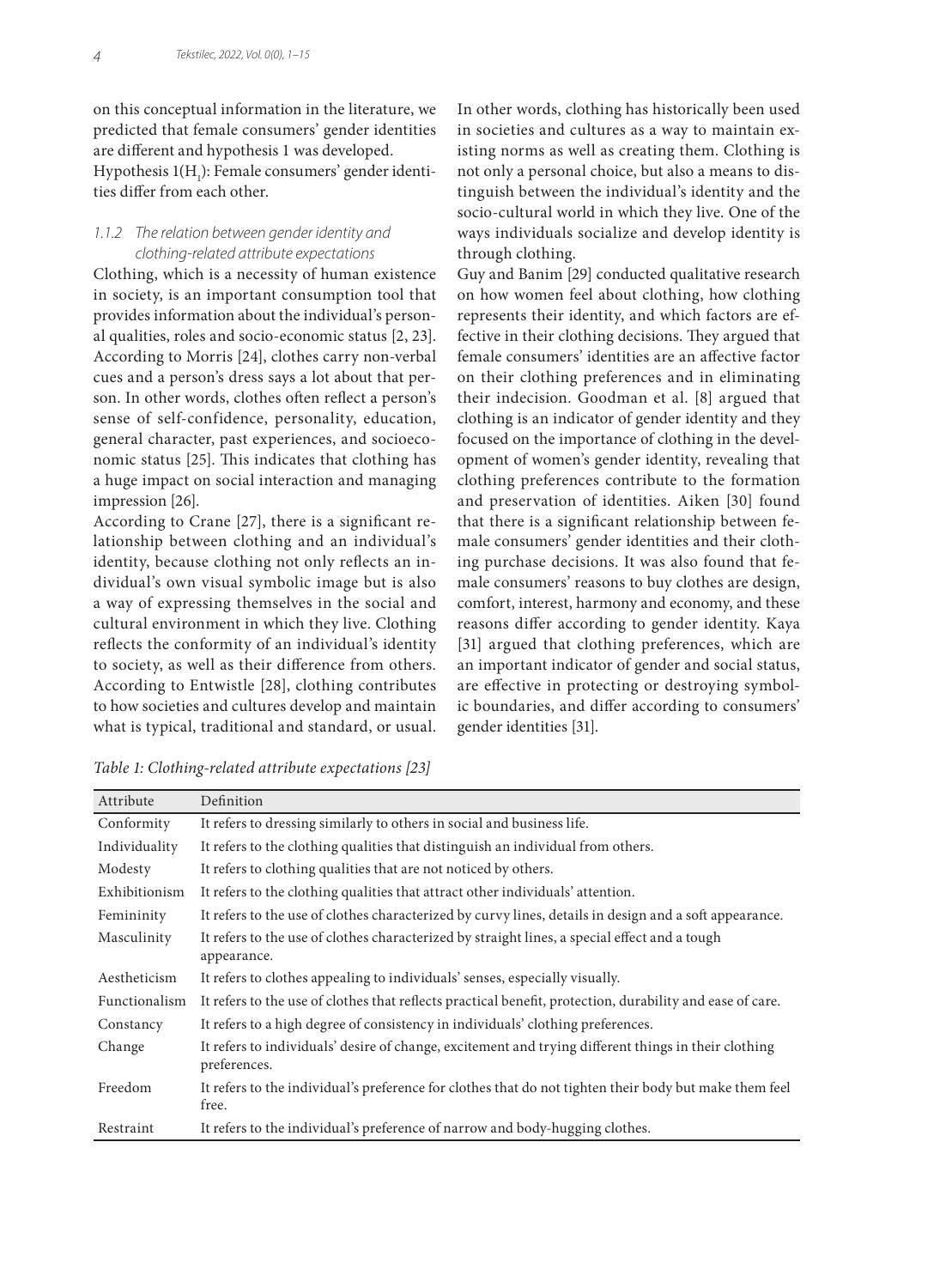on this conceptual information in the literature, we predicted that female consumers' gender identities are different and hypothesis 1 was developed. Hypothesis 1(H<sub>1</sub>): Female consumers' gender identities differ from each other.

#### *1.1.2 The relation between gender identity and clothing-related attribute expectations*

Clothing, which is a necessity of human existence in society, is an important consumption tool that provides information about the individual's personal qualities, roles and socio-economic status [2, 23]. According to Morris [24], clothes carry non-verbal cues and a person's dress says a lot about that person. In other words, clothes often reflect a person's sense of self-confidence, personality, education, general character, past experiences, and socioeconomic status [25]. This indicates that clothing has a huge impact on social interaction and managing impression [26].

According to Crane [27], there is a significant relationship between clothing and an individual's identity, because clothing not only reflects an individual's own visual symbolic image but is also a way of expressing themselves in the social and cultural environment in which they live. Clothing reflects the conformity of an individual's identity to society, as well as their difference from others. According to Entwistle [28], clothing contributes to how societies and cultures develop and maintain what is typical, traditional and standard, or usual.

In other words, clothing has historically been used in societies and cultures as a way to maintain existing norms as well as creating them. Clothing is not only a personal choice, but also a means to distinguish between the individual's identity and the socio-cultural world in which they live. One of the ways individuals socialize and develop identity is through clothing.

Guy and Banim [29] conducted qualitative research on how women feel about clothing, how clothing represents their identity, and which factors are effective in their clothing decisions. They argued that female consumers' identities are an affective factor on their clothing preferences and in eliminating their indecision. Goodman et al. [8] argued that clothing is an indicator of gender identity and they focused on the importance of clothing in the development of women's gender identity, revealing that clothing preferences contribute to the formation and preservation of identities. Aiken [30] found that there is a significant relationship between female consumers' gender identities and their clothing purchase decisions. It was also found that female consumers' reasons to buy clothes are design, comfort, interest, harmony and economy, and these reasons differ according to gender identity. Kaya [31] argued that clothing preferences, which are an important indicator of gender and social status, are effective in protecting or destroying symbolic boundaries, and differ according to consumers' gender identities [31].

| Attribute     | Definition                                                                                                           |
|---------------|----------------------------------------------------------------------------------------------------------------------|
| Conformity    | It refers to dressing similarly to others in social and business life.                                               |
| Individuality | It refers to the clothing qualities that distinguish an individual from others.                                      |
| Modesty       | It refers to clothing qualities that are not noticed by others.                                                      |
| Exhibitionism | It refers to the clothing qualities that attract other individuals' attention.                                       |
| Femininity    | It refers to the use of clothes characterized by curvy lines, details in design and a soft appearance.               |
| Masculinity   | It refers to the use of clothes characterized by straight lines, a special effect and a tough<br>appearance.         |
| Aestheticism  | It refers to clothes appealing to individuals' senses, especially visually.                                          |
| Functionalism | It refers to the use of clothes that reflects practical benefit, protection, durability and ease of care.            |
| Constancy     | It refers to a high degree of consistency in individuals' clothing preferences.                                      |
| Change        | It refers to individuals' desire of change, excitement and trying different things in their clothing<br>preferences. |
| Freedom       | It refers to the individual's preference for clothes that do not tighten their body but make them feel<br>free.      |
| Restraint     | It refers to the individual's preference of narrow and body-hugging clothes.                                         |

*Table 1: Clothing-related attribute expectations [23]*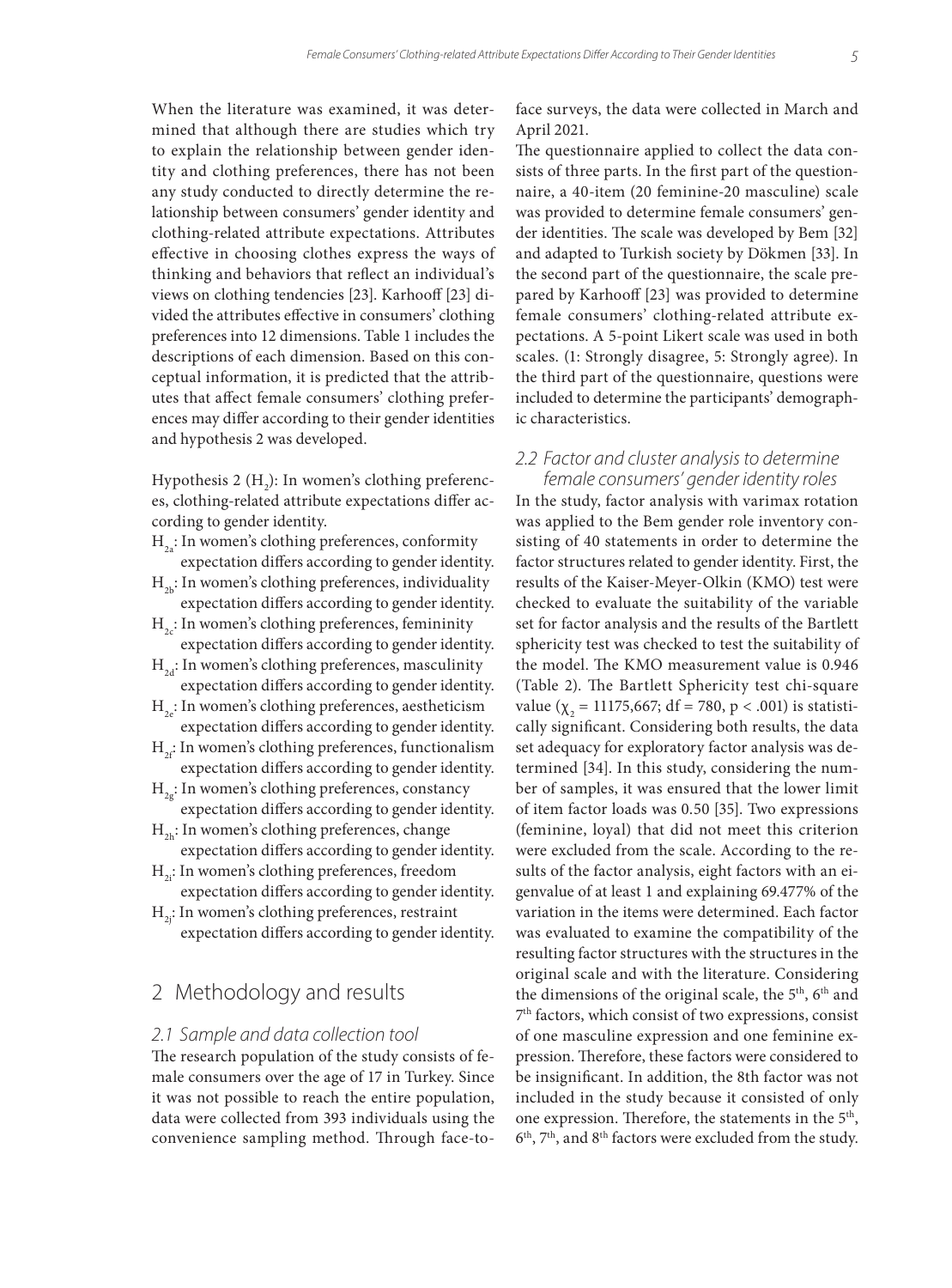When the literature was examined, it was determined that although there are studies which try to explain the relationship between gender identity and clothing preferences, there has not been any study conducted to directly determine the relationship between consumers' gender identity and clothing-related attribute expectations. Attributes effective in choosing clothes express the ways of thinking and behaviors that reflect an individual's views on clothing tendencies [23]. Karhooff [23] divided the attributes effective in consumers' clothing preferences into 12 dimensions. Table 1 includes the descriptions of each dimension. Based on this conceptual information, it is predicted that the attributes that affect female consumers' clothing preferences may differ according to their gender identities and hypothesis 2 was developed.

Hypothesis 2  $(H_2)$ : In women's clothing preferences, clothing-related attribute expectations differ according to gender identity.

- $H<sub>2a</sub>$ : In women's clothing preferences, conformity expectation differs according to gender identity.
- $H<sub>2b</sub>$ : In women's clothing preferences, individuality expectation differs according to gender identity.
- $H<sub>2</sub>$ : In women's clothing preferences, femininity expectation differs according to gender identity.
- $H<sub>2d</sub>$ : In women's clothing preferences, masculinity expectation differs according to gender identity.
- $H<sub>2</sub>$ : In women's clothing preferences, aestheticism expectation differs according to gender identity.
- $H_{2f}$ : In women's clothing preferences, functionalism expectation differs according to gender identity.
- $H_{2g}:$  In women's clothing preferences, constancy expectation differs according to gender identity.
- $H_{2h}$ : In women's clothing preferences, change expectation differs according to gender identity.
- $H<sub>2</sub>$ : In women's clothing preferences, freedom expectation differs according to gender identity.
- $H<sub>2</sub>$ : In women's clothing preferences, restraint expectation differs according to gender identity.

# 2 Methodology and results

#### *2.1 Sample and data collection tool*

The research population of the study consists of female consumers over the age of 17 in Turkey. Since it was not possible to reach the entire population, data were collected from 393 individuals using the convenience sampling method. Through face-toface surveys, the data were collected in March and April 2021.

The questionnaire applied to collect the data consists of three parts. In the first part of the questionnaire, a 40-item (20 feminine-20 masculine) scale was provided to determine female consumers' gender identities. The scale was developed by Bem [32] and adapted to Turkish society by Dökmen [33]. In the second part of the questionnaire, the scale prepared by Karhooff [23] was provided to determine female consumers' clothing-related attribute expectations. A 5-point Likert scale was used in both scales. (1: Strongly disagree, 5: Strongly agree). In the third part of the questionnaire, questions were included to determine the participants' demographic characteristics.

#### *2.2 Factor and cluster analysis to determine female consumers' gender identity roles*

In the study, factor analysis with varimax rotation was applied to the Bem gender role inventory consisting of 40 statements in order to determine the factor structures related to gender identity. First, the results of the Kaiser-Meyer-Olkin (KMO) test were checked to evaluate the suitability of the variable set for factor analysis and the results of the Bartlett sphericity test was checked to test the suitability of the model. The KMO measurement value is 0.946 (Table 2). The Bartlett Sphericity test chi-square value ( $\chi$ <sub>2</sub> = 11175,667; df = 780, p < .001) is statistically significant. Considering both results, the data set adequacy for exploratory factor analysis was determined [34]. In this study, considering the number of samples, it was ensured that the lower limit of item factor loads was 0.50 [35]. Two expressions (feminine, loyal) that did not meet this criterion were excluded from the scale. According to the results of the factor analysis, eight factors with an eigenvalue of at least 1 and explaining 69.477% of the variation in the items were determined. Each factor was evaluated to examine the compatibility of the resulting factor structures with the structures in the original scale and with the literature. Considering the dimensions of the original scale, the  $5<sup>th</sup>$ ,  $6<sup>th</sup>$  and 7th factors, which consist of two expressions, consist of one masculine expression and one feminine expression. Therefore, these factors were considered to be insignificant. In addition, the 8th factor was not included in the study because it consisted of only one expression. Therefore, the statements in the 5th, 6th, 7th, and 8th factors were excluded from the study.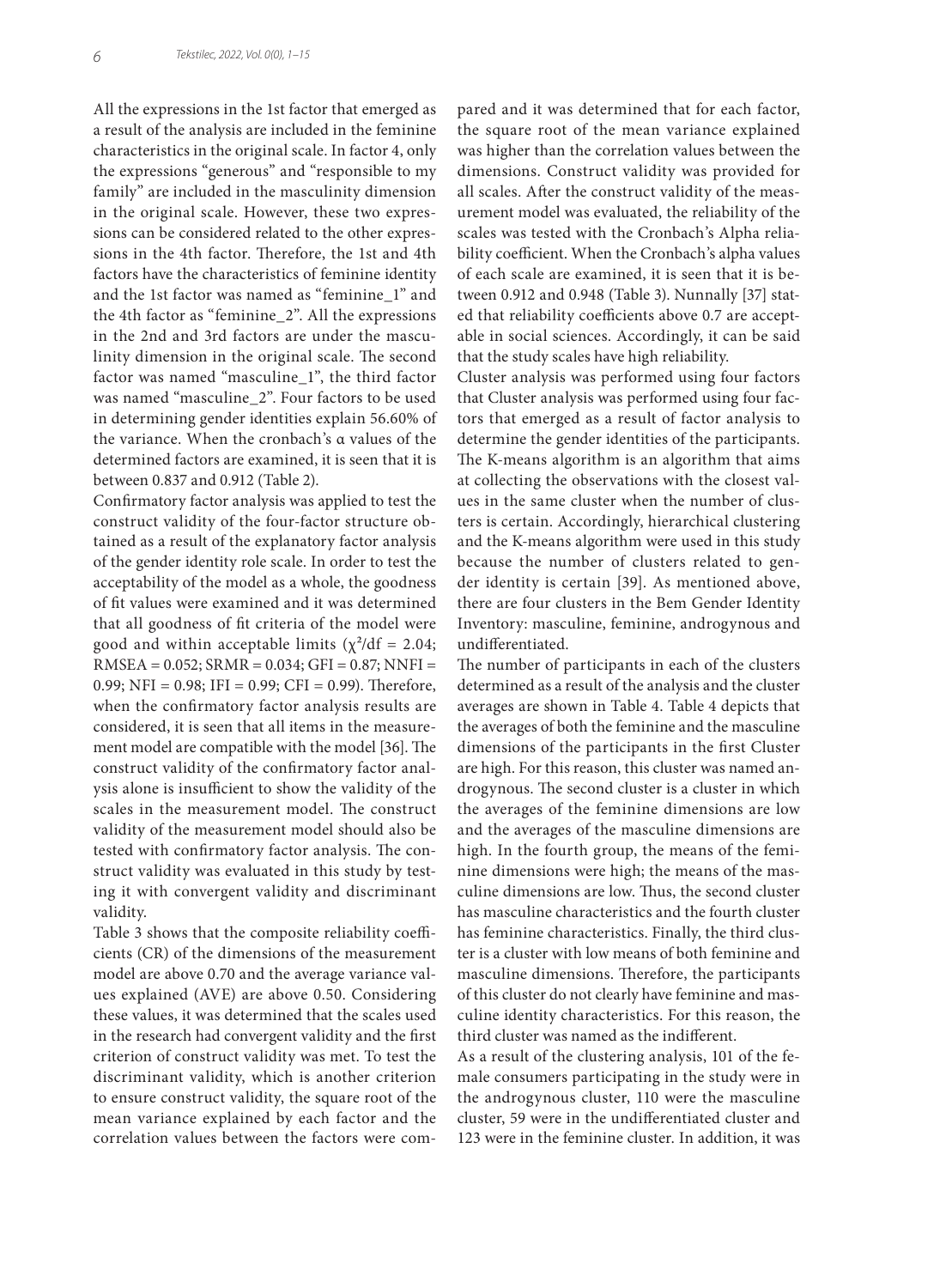All the expressions in the 1st factor that emerged as a result of the analysis are included in the feminine characteristics in the original scale. In factor 4, only the expressions "generous" and "responsible to my family" are included in the masculinity dimension in the original scale. However, these two expressions can be considered related to the other expressions in the 4th factor. Therefore, the 1st and 4th factors have the characteristics of feminine identity and the 1st factor was named as "feminine\_1" and the 4th factor as "feminine\_2". All the expressions in the 2nd and 3rd factors are under the masculinity dimension in the original scale. The second factor was named "masculine\_1", the third factor was named "masculine\_2". Four factors to be used in determining gender identities explain 56.60% of the variance. When the cronbach's α values of the determined factors are examined, it is seen that it is between 0.837 and 0.912 (Table 2).

Confirmatory factor analysis was applied to test the construct validity of the four-factor structure obtained as a result of the explanatory factor analysis of the gender identity role scale. In order to test the acceptability of the model as a whole, the goodness of fit values were examined and it was determined that all goodness of fit criteria of the model were good and within acceptable limits  $(\chi^2/df = 2.04;$ RMSEA = 0.052; SRMR = 0.034; GFI = 0.87; NNFI = 0.99; NFI =  $0.98$ ; IFI =  $0.99$ ; CFI = 0.99). Therefore, when the confirmatory factor analysis results are considered, it is seen that all items in the measurement model are compatible with the model [36]. The construct validity of the confirmatory factor analysis alone is insufficient to show the validity of the scales in the measurement model. The construct validity of the measurement model should also be tested with confirmatory factor analysis. The construct validity was evaluated in this study by testing it with convergent validity and discriminant validity.

Table 3 shows that the composite reliability coefficients (CR) of the dimensions of the measurement model are above 0.70 and the average variance values explained (AVE) are above 0.50. Considering these values, it was determined that the scales used in the research had convergent validity and the first criterion of construct validity was met. To test the discriminant validity, which is another criterion to ensure construct validity, the square root of the mean variance explained by each factor and the correlation values between the factors were compared and it was determined that for each factor, the square root of the mean variance explained was higher than the correlation values between the dimensions. Construct validity was provided for all scales. After the construct validity of the measurement model was evaluated, the reliability of the scales was tested with the Cronbach's Alpha reliability coefficient. When the Cronbach's alpha values of each scale are examined, it is seen that it is between 0.912 and 0.948 (Table 3). Nunnally [37] stated that reliability coefficients above 0.7 are acceptable in social sciences. Accordingly, it can be said that the study scales have high reliability.

Cluster analysis was performed using four factors that Cluster analysis was performed using four factors that emerged as a result of factor analysis to determine the gender identities of the participants. The K-means algorithm is an algorithm that aims at collecting the observations with the closest values in the same cluster when the number of clusters is certain. Accordingly, hierarchical clustering and the K-means algorithm were used in this study because the number of clusters related to gender identity is certain [39]. As mentioned above, there are four clusters in the Bem Gender Identity Inventory: masculine, feminine, androgynous and undifferentiated.

The number of participants in each of the clusters determined as a result of the analysis and the cluster averages are shown in Table 4. Table 4 depicts that the averages of both the feminine and the masculine dimensions of the participants in the first Cluster are high. For this reason, this cluster was named androgynous. The second cluster is a cluster in which the averages of the feminine dimensions are low and the averages of the masculine dimensions are high. In the fourth group, the means of the feminine dimensions were high; the means of the masculine dimensions are low. Thus, the second cluster has masculine characteristics and the fourth cluster has feminine characteristics. Finally, the third cluster is a cluster with low means of both feminine and masculine dimensions. Therefore, the participants of this cluster do not clearly have feminine and masculine identity characteristics. For this reason, the third cluster was named as the indifferent.

As a result of the clustering analysis, 101 of the female consumers participating in the study were in the androgynous cluster, 110 were the masculine cluster, 59 were in the undifferentiated cluster and 123 were in the feminine cluster. In addition, it was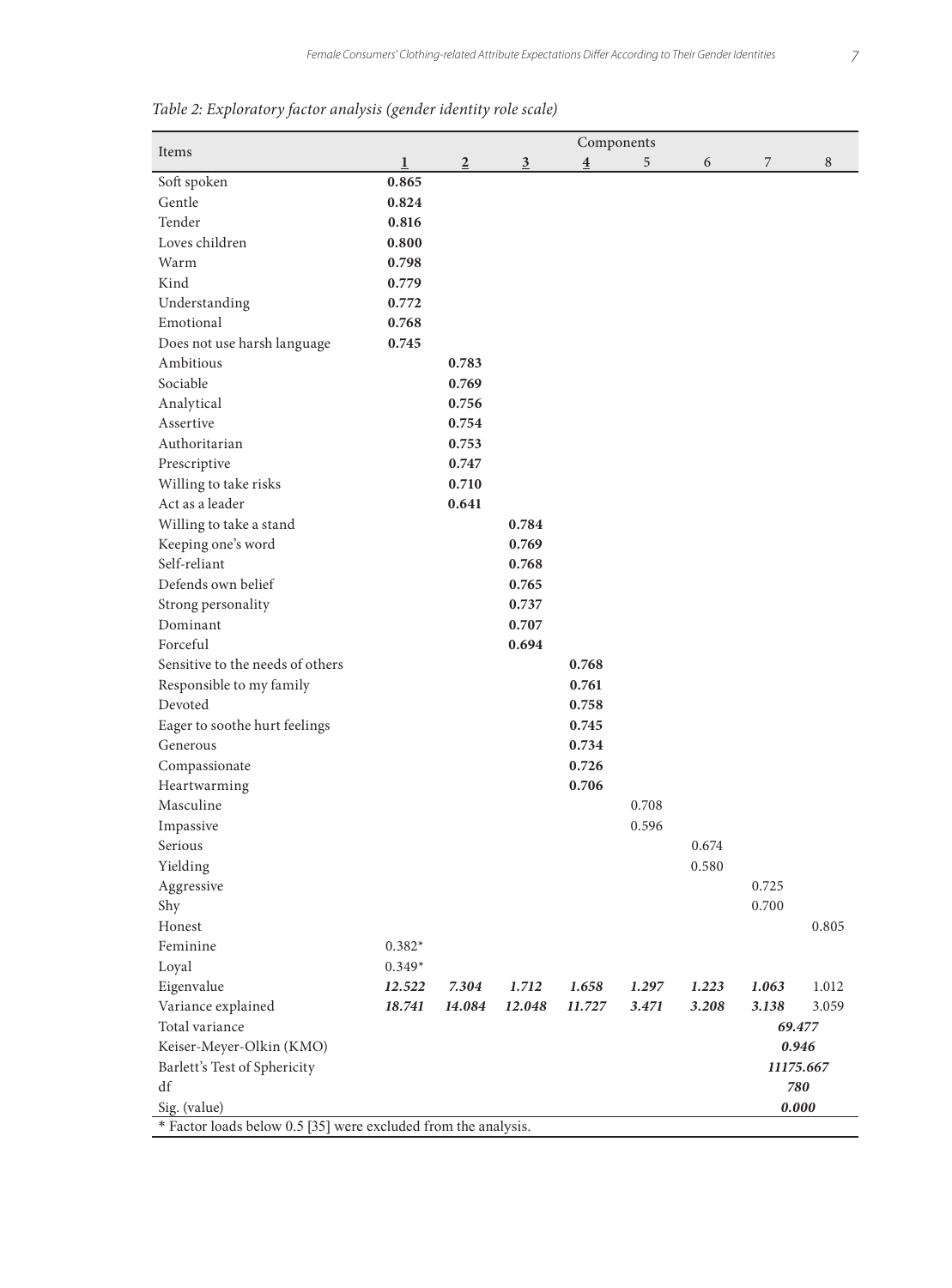| Items<br>$\mathbf{1}$<br>$\overline{2}$<br>5<br>7<br>$\overline{3}$<br>$\overline{\mathbf{4}}$<br>6<br>Soft spoken<br>0.865<br>Gentle<br>0.824<br>Tender<br>0.816<br>Loves children<br>0.800<br>Warm<br>0.798<br>Kind | 8     |
|-----------------------------------------------------------------------------------------------------------------------------------------------------------------------------------------------------------------------|-------|
|                                                                                                                                                                                                                       |       |
|                                                                                                                                                                                                                       |       |
|                                                                                                                                                                                                                       |       |
|                                                                                                                                                                                                                       |       |
|                                                                                                                                                                                                                       |       |
|                                                                                                                                                                                                                       |       |
| 0.779                                                                                                                                                                                                                 |       |
| Understanding<br>0.772                                                                                                                                                                                                |       |
| Emotional<br>0.768                                                                                                                                                                                                    |       |
| Does not use harsh language<br>0.745                                                                                                                                                                                  |       |
| Ambitious<br>0.783                                                                                                                                                                                                    |       |
| Sociable<br>0.769                                                                                                                                                                                                     |       |
| Analytical<br>0.756                                                                                                                                                                                                   |       |
| Assertive<br>0.754                                                                                                                                                                                                    |       |
| Authoritarian<br>0.753                                                                                                                                                                                                |       |
| 0.747<br>Prescriptive                                                                                                                                                                                                 |       |
| Willing to take risks<br>0.710                                                                                                                                                                                        |       |
| Act as a leader<br>0.641                                                                                                                                                                                              |       |
| Willing to take a stand<br>0.784                                                                                                                                                                                      |       |
| Keeping one's word<br>0.769                                                                                                                                                                                           |       |
| Self-reliant<br>0.768                                                                                                                                                                                                 |       |
| Defends own belief<br>0.765                                                                                                                                                                                           |       |
| Strong personality<br>0.737                                                                                                                                                                                           |       |
| Dominant<br>0.707                                                                                                                                                                                                     |       |
| Forceful<br>0.694                                                                                                                                                                                                     |       |
| Sensitive to the needs of others<br>0.768                                                                                                                                                                             |       |
| Responsible to my family<br>0.761                                                                                                                                                                                     |       |
| Devoted<br>0.758                                                                                                                                                                                                      |       |
| Eager to soothe hurt feelings<br>0.745                                                                                                                                                                                |       |
| 0.734<br>Generous                                                                                                                                                                                                     |       |
| 0.726<br>Compassionate                                                                                                                                                                                                |       |
| Heartwarming<br>0.706                                                                                                                                                                                                 |       |
| Masculine<br>0.708                                                                                                                                                                                                    |       |
| Impassive<br>0.596                                                                                                                                                                                                    |       |
| Serious<br>0.674                                                                                                                                                                                                      |       |
| Yielding<br>0.580                                                                                                                                                                                                     |       |
| Aggressive<br>0.725                                                                                                                                                                                                   |       |
| Shy<br>0.700                                                                                                                                                                                                          |       |
| Honest                                                                                                                                                                                                                | 0.805 |
| Feminine<br>$0.382*$                                                                                                                                                                                                  |       |
| $0.349*$<br>Loyal                                                                                                                                                                                                     |       |
| Eigenvalue<br>12.522<br>7.304<br>1.712<br>1.658<br>1.297<br>1.223<br>1.063                                                                                                                                            | 1.012 |
| Variance explained<br>3.208<br>18.741<br>14.084<br>12.048<br>11.727<br>3.471<br>3.138                                                                                                                                 | 3.059 |
| Total variance<br>69.477                                                                                                                                                                                              |       |
| Keiser-Meyer-Olkin (KMO)<br>0.946                                                                                                                                                                                     |       |
| Barlett's Test of Sphericity<br>11175.667                                                                                                                                                                             |       |
| df<br>780                                                                                                                                                                                                             |       |
| Sig. (value)<br>0.000                                                                                                                                                                                                 |       |
| * Factor loads below 0.5 [35] were excluded from the analysis.                                                                                                                                                        |       |

*Table 2: Exploratory factor analysis (gender identity role scale)*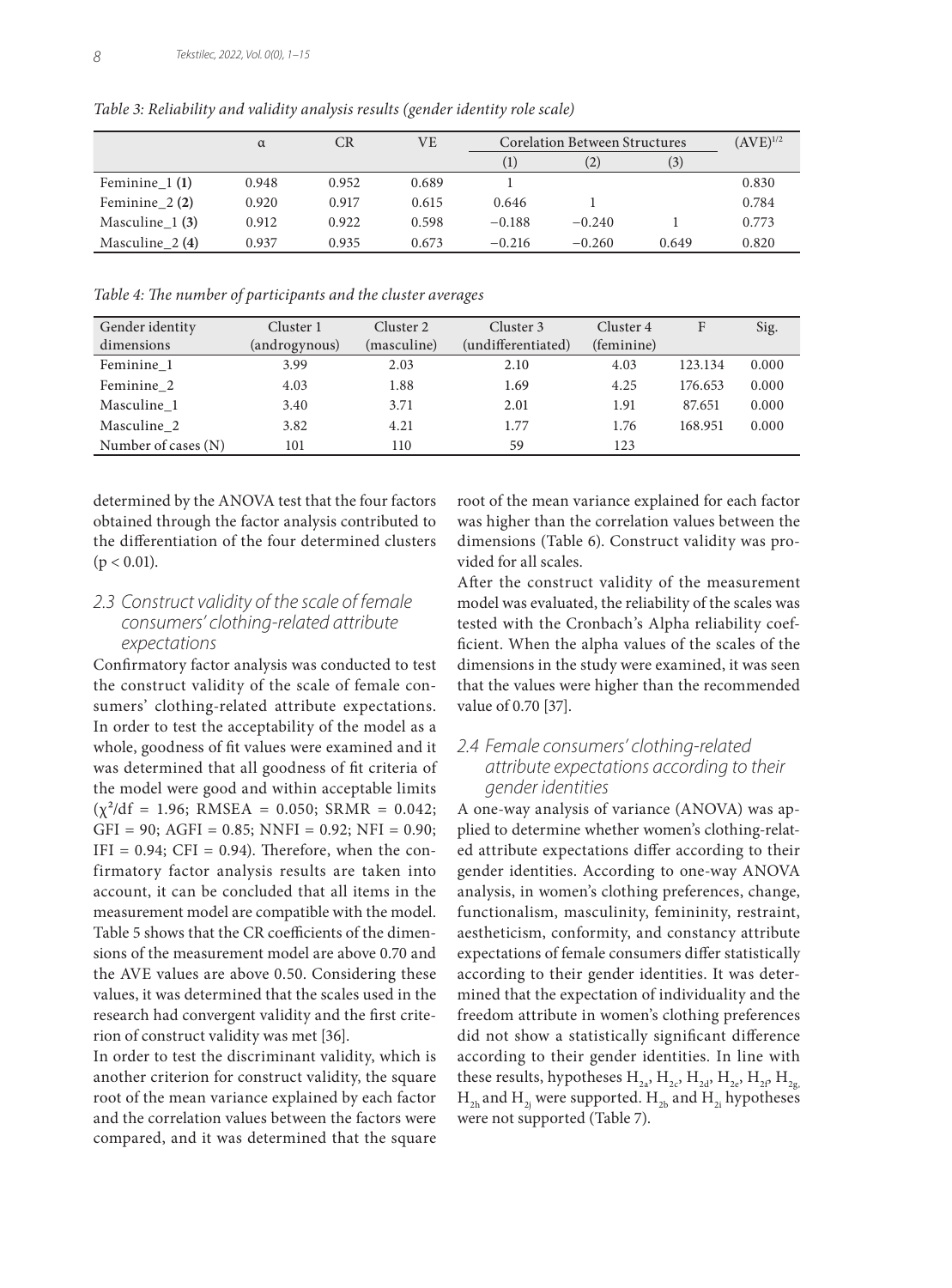|                  | $\alpha$ | <b>CR</b> | VE    | <b>Corelation Between Structures</b> |          |       | $(AVE)^{1/2}$ |
|------------------|----------|-----------|-------|--------------------------------------|----------|-------|---------------|
|                  |          |           |       | $\left(1\right)$                     | (2)      | (3)   |               |
| Feminine $1(1)$  | 0.948    | 0.952     | 0.689 |                                      |          |       | 0.830         |
| Feminine $2(2)$  | 0.920    | 0.917     | 0.615 | 0.646                                |          |       | 0.784         |
| Masculine $1(3)$ | 0.912    | 0.922     | 0.598 | $-0.188$                             | $-0.240$ |       | 0.773         |
| Masculine $2(4)$ | 0.937    | 0.935     | 0.673 | $-0.216$                             | $-0.260$ | 0.649 | 0.820         |

*Table 3: Reliability and validity analysis results (gender identity role scale)*

*Table 4: The number of participants and the cluster averages*

| Gender identity     | Cluster 1     | Cluster 2   | Cluster 3          | Cluster 4  | F       | Sig.  |
|---------------------|---------------|-------------|--------------------|------------|---------|-------|
| dimensions          | (androgynous) | (masculine) | (undifferentiated) | (feminine) |         |       |
| Feminine 1          | 3.99          | 2.03        | 2.10               | 4.03       | 123.134 | 0.000 |
| Feminine 2          | 4.03          | 1.88        | 1.69               | 4.25       | 176.653 | 0.000 |
| Masculine 1         | 3.40          | 3.71        | 2.01               | 1.91       | 87.651  | 0.000 |
| Masculine 2         | 3.82          | 4.21        | 1.77               | 1.76       | 168.951 | 0.000 |
| Number of cases (N) | 101           | 110         | 59                 | 123        |         |       |

determined by the ANOVA test that the four factors obtained through the factor analysis contributed to the differentiation of the four determined clusters  $(p < 0.01)$ .

### *2.3 Construct validity of the scale of female consumers' clothing-related attribute expectations*

Confirmatory factor analysis was conducted to test the construct validity of the scale of female consumers' clothing-related attribute expectations. In order to test the acceptability of the model as a whole, goodness of fit values were examined and it was determined that all goodness of fit criteria of the model were good and within acceptable limits  $(\chi^2/df = 1.96; RMSEA = 0.050; SRMR = 0.042;$  $GFI = 90$ ;  $AGFI = 0.85$ ;  $NNFI = 0.92$ ;  $NFI = 0.90$ ;  $IFI = 0.94$ ;  $CFI = 0.94$ ). Therefore, when the confirmatory factor analysis results are taken into account, it can be concluded that all items in the measurement model are compatible with the model. Table 5 shows that the CR coefficients of the dimensions of the measurement model are above 0.70 and the AVE values are above 0.50. Considering these values, it was determined that the scales used in the research had convergent validity and the first criterion of construct validity was met [36].

In order to test the discriminant validity, which is another criterion for construct validity, the square root of the mean variance explained by each factor and the correlation values between the factors were compared, and it was determined that the square root of the mean variance explained for each factor was higher than the correlation values between the dimensions (Table 6). Construct validity was provided for all scales.

After the construct validity of the measurement model was evaluated, the reliability of the scales was tested with the Cronbach's Alpha reliability coefficient. When the alpha values of the scales of the dimensions in the study were examined, it was seen that the values were higher than the recommended value of 0.70 [37].

## *2.4 Female consumers' clothing-related attribute expectations according to their gender identities*

A one-way analysis of variance (ANOVA) was applied to determine whether women's clothing-related attribute expectations differ according to their gender identities. According to one-way ANOVA analysis, in women's clothing preferences, change, functionalism, masculinity, femininity, restraint, aestheticism, conformity, and constancy attribute expectations of female consumers differ statistically according to their gender identities. It was determined that the expectation of individuality and the freedom attribute in women's clothing preferences did not show a statistically significant difference according to their gender identities. In line with these results, hypotheses  $H_{2a}$ ,  $H_{2c}$ ,  $H_{2d}$ ,  $H_{2e}$ ,  $H_{2f}$ ,  $H_{2g}$  $H_{2h}$  and  $H_{2i}$  were supported.  $H_{2h}$  and  $H_{2i}$  hypotheses were not supported (Table 7).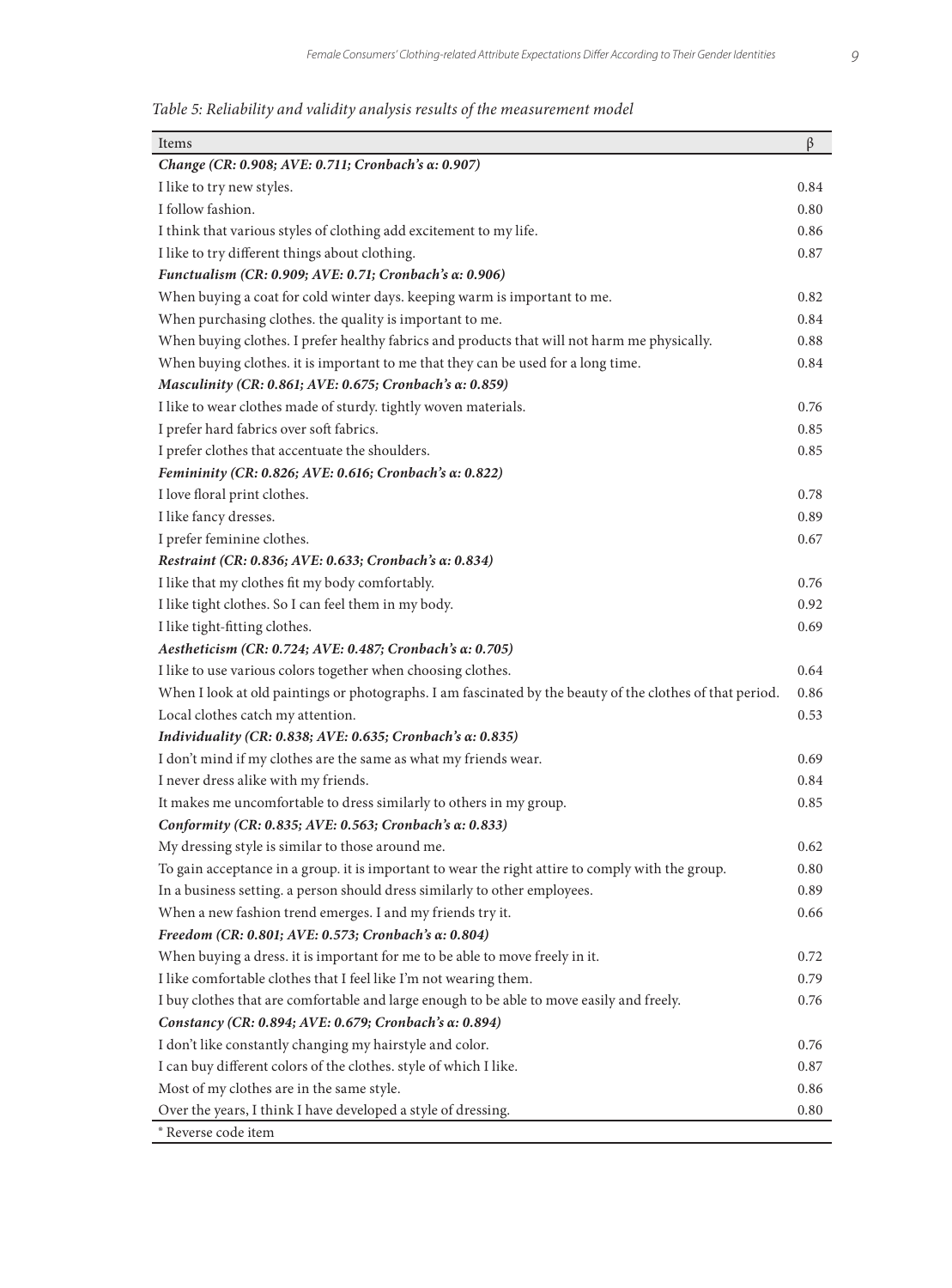*Table 5: Reliability and validity analysis results of the measurement model*

| Items                                                                                                     | β    |
|-----------------------------------------------------------------------------------------------------------|------|
| Change (CR: 0.908; AVE: 0.711; Cronbach's α: 0.907)                                                       |      |
| I like to try new styles.                                                                                 | 0.84 |
| I follow fashion.                                                                                         | 0.80 |
| I think that various styles of clothing add excitement to my life.                                        | 0.86 |
| I like to try different things about clothing.                                                            | 0.87 |
| Functualism (CR: 0.909; AVE: 0.71; Cronbach's α: 0.906)                                                   |      |
| When buying a coat for cold winter days. keeping warm is important to me.                                 | 0.82 |
| When purchasing clothes. the quality is important to me.                                                  | 0.84 |
| When buying clothes. I prefer healthy fabrics and products that will not harm me physically.              | 0.88 |
| When buying clothes. it is important to me that they can be used for a long time.                         | 0.84 |
| Masculinity (CR: 0.861; AVE: 0.675; Cronbach's α: 0.859)                                                  |      |
| I like to wear clothes made of sturdy. tightly woven materials.                                           | 0.76 |
| I prefer hard fabrics over soft fabrics.                                                                  | 0.85 |
| I prefer clothes that accentuate the shoulders.                                                           | 0.85 |
| Femininity (CR: 0.826; AVE: 0.616; Cronbach's α: 0.822)                                                   |      |
| I love floral print clothes.                                                                              | 0.78 |
| I like fancy dresses.                                                                                     | 0.89 |
| I prefer feminine clothes.                                                                                | 0.67 |
| Restraint (CR: 0.836; AVE: 0.633; Cronbach's α: 0.834)                                                    |      |
| I like that my clothes fit my body comfortably.                                                           | 0.76 |
| I like tight clothes. So I can feel them in my body.                                                      | 0.92 |
| I like tight-fitting clothes.                                                                             | 0.69 |
| Aestheticism (CR: 0.724; AVE: 0.487; Cronbach's α: 0.705)                                                 |      |
| I like to use various colors together when choosing clothes.                                              | 0.64 |
| When I look at old paintings or photographs. I am fascinated by the beauty of the clothes of that period. | 0.86 |
| Local clothes catch my attention.                                                                         | 0.53 |
| Individuality (CR: 0.838; AVE: 0.635; Cronbach's α: 0.835)                                                |      |
| I don't mind if my clothes are the same as what my friends wear.                                          | 0.69 |
| I never dress alike with my friends.                                                                      | 0.84 |
| It makes me uncomfortable to dress similarly to others in my group.                                       | 0.85 |
| Conformity (CR: 0.835; AVE: 0.563; Cronbach's α: 0.833)                                                   |      |
| My dressing style is similar to those around me.                                                          | 0.62 |
| To gain acceptance in a group. it is important to wear the right attire to comply with the group.         | 0.80 |
| In a business setting. a person should dress similarly to other employees.                                | 0.89 |
| When a new fashion trend emerges. I and my friends try it.                                                | 0.66 |
| Freedom (CR: 0.801; AVE: 0.573; Cronbach's α: 0.804)                                                      |      |
| When buying a dress. it is important for me to be able to move freely in it.                              | 0.72 |
| I like comfortable clothes that I feel like I'm not wearing them.                                         | 0.79 |
| I buy clothes that are comfortable and large enough to be able to move easily and freely.                 | 0.76 |
| Constancy (CR: 0.894; AVE: 0.679; Cronbach's α: 0.894)                                                    |      |
| I don't like constantly changing my hairstyle and color.                                                  | 0.76 |
| I can buy different colors of the clothes. style of which I like.                                         | 0.87 |
| Most of my clothes are in the same style.                                                                 | 0.86 |
| Over the years, I think I have developed a style of dressing.                                             | 0.80 |
| <sup>®</sup> Reverse code item                                                                            |      |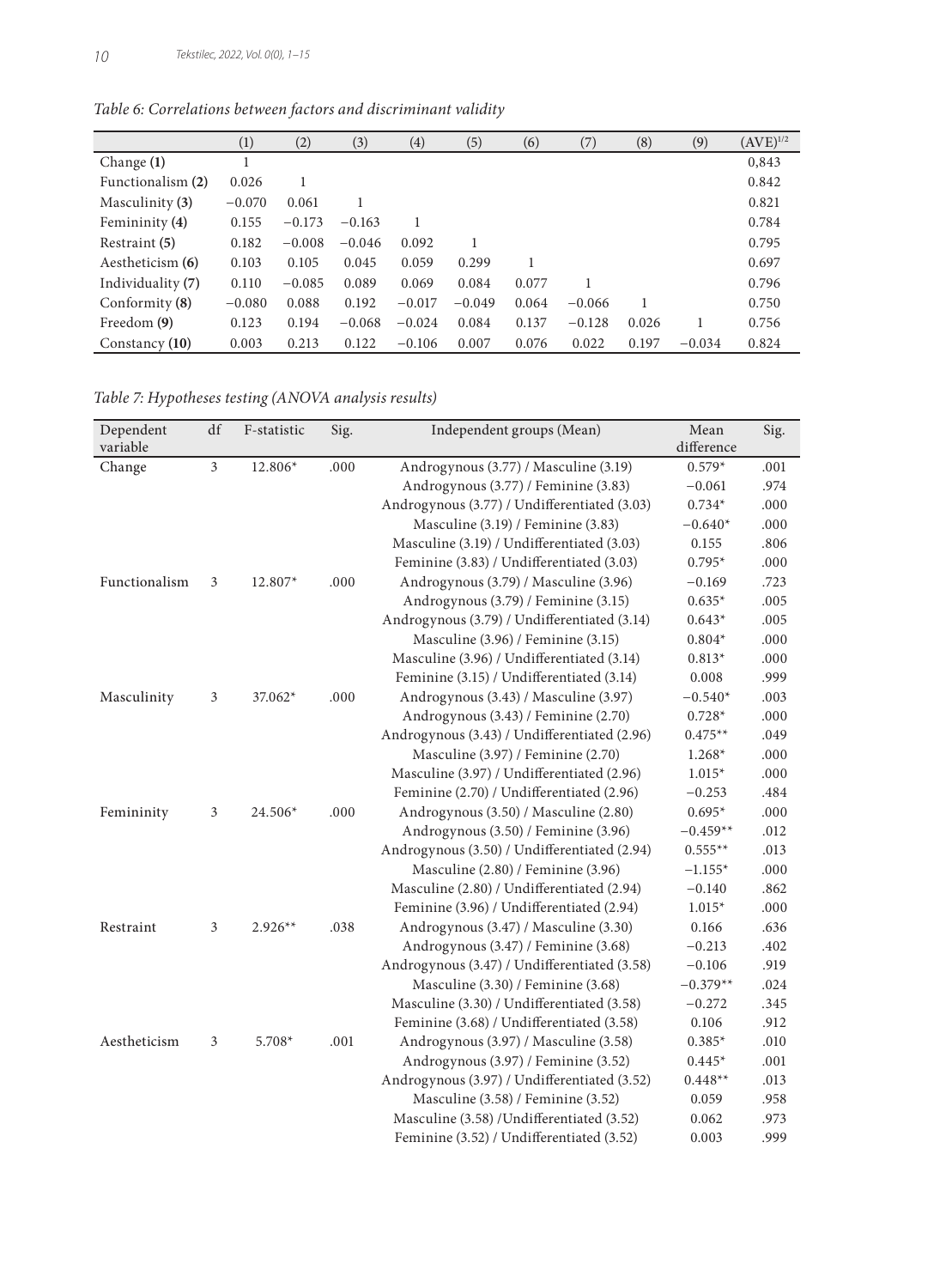|                   | $\left(1\right)$ | (2)      | (3)      | $\left( 4\right)$ | (5)      | (6)   | (7)      | (8)   | (9)      | $(AVE)^{1/2}$ |
|-------------------|------------------|----------|----------|-------------------|----------|-------|----------|-------|----------|---------------|
| Change $(1)$      |                  |          |          |                   |          |       |          |       |          | 0,843         |
| Functionalism (2) | 0.026            |          |          |                   |          |       |          |       |          | 0.842         |
| Masculinity (3)   | $-0.070$         | 0.061    |          |                   |          |       |          |       |          | 0.821         |
| Femininity (4)    | 0.155            | $-0.173$ | $-0.163$ | 1                 |          |       |          |       |          | 0.784         |
| Restraint (5)     | 0.182            | $-0.008$ | $-0.046$ | 0.092             |          |       |          |       |          | 0.795         |
| Aestheticism (6)  | 0.103            | 0.105    | 0.045    | 0.059             | 0.299    |       |          |       |          | 0.697         |
| Individuality (7) | 0.110            | $-0.085$ | 0.089    | 0.069             | 0.084    | 0.077 |          |       |          | 0.796         |
| Conformity $(8)$  | $-0.080$         | 0.088    | 0.192    | $-0.017$          | $-0.049$ | 0.064 | $-0.066$ | 1     |          | 0.750         |
| Freedom (9)       | 0.123            | 0.194    | $-0.068$ | $-0.024$          | 0.084    | 0.137 | $-0.128$ | 0.026 |          | 0.756         |
| Constancy $(10)$  | 0.003            | 0.213    | 0.122    | $-0.106$          | 0.007    | 0.076 | 0.022    | 0.197 | $-0.034$ | 0.824         |

*Table 6: Correlations between factors and discriminant validity*

*Table 7: Hypotheses testing (ANOVA analysis results)*

| Dependent     | df             | F-statistic | Sig. | Independent groups (Mean)                    | Mean       | Sig. |
|---------------|----------------|-------------|------|----------------------------------------------|------------|------|
| variable      |                |             |      |                                              | difference |      |
| Change        | $\mathfrak{Z}$ | 12.806*     | .000 | Androgynous (3.77) / Masculine (3.19)        | $0.579*$   | .001 |
|               |                |             |      | Androgynous (3.77) / Feminine (3.83)         | $-0.061$   | .974 |
|               |                |             |      | Androgynous (3.77) / Undifferentiated (3.03) | $0.734*$   | .000 |
|               |                |             |      | Masculine (3.19) / Feminine (3.83)           | $-0.640*$  | .000 |
|               |                |             |      | Masculine (3.19) / Undifferentiated (3.03)   | 0.155      | .806 |
|               |                |             |      | Feminine (3.83) / Undifferentiated (3.03)    | $0.795*$   | .000 |
| Functionalism | 3              | 12.807*     | .000 | Androgynous (3.79) / Masculine (3.96)        | $-0.169$   | .723 |
|               |                |             |      | Androgynous (3.79) / Feminine (3.15)         | $0.635*$   | .005 |
|               |                |             |      | Androgynous (3.79) / Undifferentiated (3.14) | $0.643*$   | .005 |
|               |                |             |      | Masculine (3.96) / Feminine (3.15)           | $0.804*$   | .000 |
|               |                |             |      | Masculine (3.96) / Undifferentiated (3.14)   | $0.813*$   | .000 |
|               |                |             |      | Feminine (3.15) / Undifferentiated (3.14)    | 0.008      | .999 |
| Masculinity   | 3              | 37.062*     | .000 | Androgynous (3.43) / Masculine (3.97)        | $-0.540*$  | .003 |
|               |                |             |      | Androgynous (3.43) / Feminine (2.70)         | $0.728*$   | .000 |
|               |                |             |      | Androgynous (3.43) / Undifferentiated (2.96) | $0.475**$  | .049 |
|               |                |             |      | Masculine (3.97) / Feminine (2.70)           | $1.268*$   | .000 |
|               |                |             |      | Masculine (3.97) / Undifferentiated (2.96)   | $1.015*$   | .000 |
|               |                |             |      | Feminine (2.70) / Undifferentiated (2.96)    | $-0.253$   | .484 |
| Femininity    | $\mathfrak{Z}$ | 24.506*     | .000 | Androgynous (3.50) / Masculine (2.80)        | $0.695*$   | .000 |
|               |                |             |      | Androgynous (3.50) / Feminine (3.96)         | $-0.459**$ | .012 |
|               |                |             |      | Androgynous (3.50) / Undifferentiated (2.94) | $0.555**$  | .013 |
|               |                |             |      | Masculine (2.80) / Feminine (3.96)           | $-1.155*$  | .000 |
|               |                |             |      | Masculine (2.80) / Undifferentiated (2.94)   | $-0.140$   | .862 |
|               |                |             |      | Feminine (3.96) / Undifferentiated (2.94)    | $1.015*$   | .000 |
| Restraint     | 3              | $2.926**$   | .038 | Androgynous (3.47) / Masculine (3.30)        | 0.166      | .636 |
|               |                |             |      | Androgynous (3.47) / Feminine (3.68)         | $-0.213$   | .402 |
|               |                |             |      | Androgynous (3.47) / Undifferentiated (3.58) | $-0.106$   | .919 |
|               |                |             |      | Masculine (3.30) / Feminine (3.68)           | $-0.379**$ | .024 |
|               |                |             |      | Masculine (3.30) / Undifferentiated (3.58)   | $-0.272$   | .345 |
|               |                |             |      | Feminine (3.68) / Undifferentiated (3.58)    | 0.106      | .912 |
| Aestheticism  | $\mathfrak{Z}$ | 5.708*      | .001 | Androgynous (3.97) / Masculine (3.58)        | $0.385*$   | .010 |
|               |                |             |      | Androgynous (3.97) / Feminine (3.52)         | $0.445*$   | .001 |
|               |                |             |      | Androgynous (3.97) / Undifferentiated (3.52) | $0.448**$  | .013 |
|               |                |             |      | Masculine (3.58) / Feminine (3.52)           | 0.059      | .958 |
|               |                |             |      | Masculine (3.58) / Undifferentiated (3.52)   | 0.062      | .973 |
|               |                |             |      | Feminine (3.52) / Undifferentiated (3.52)    | 0.003      | .999 |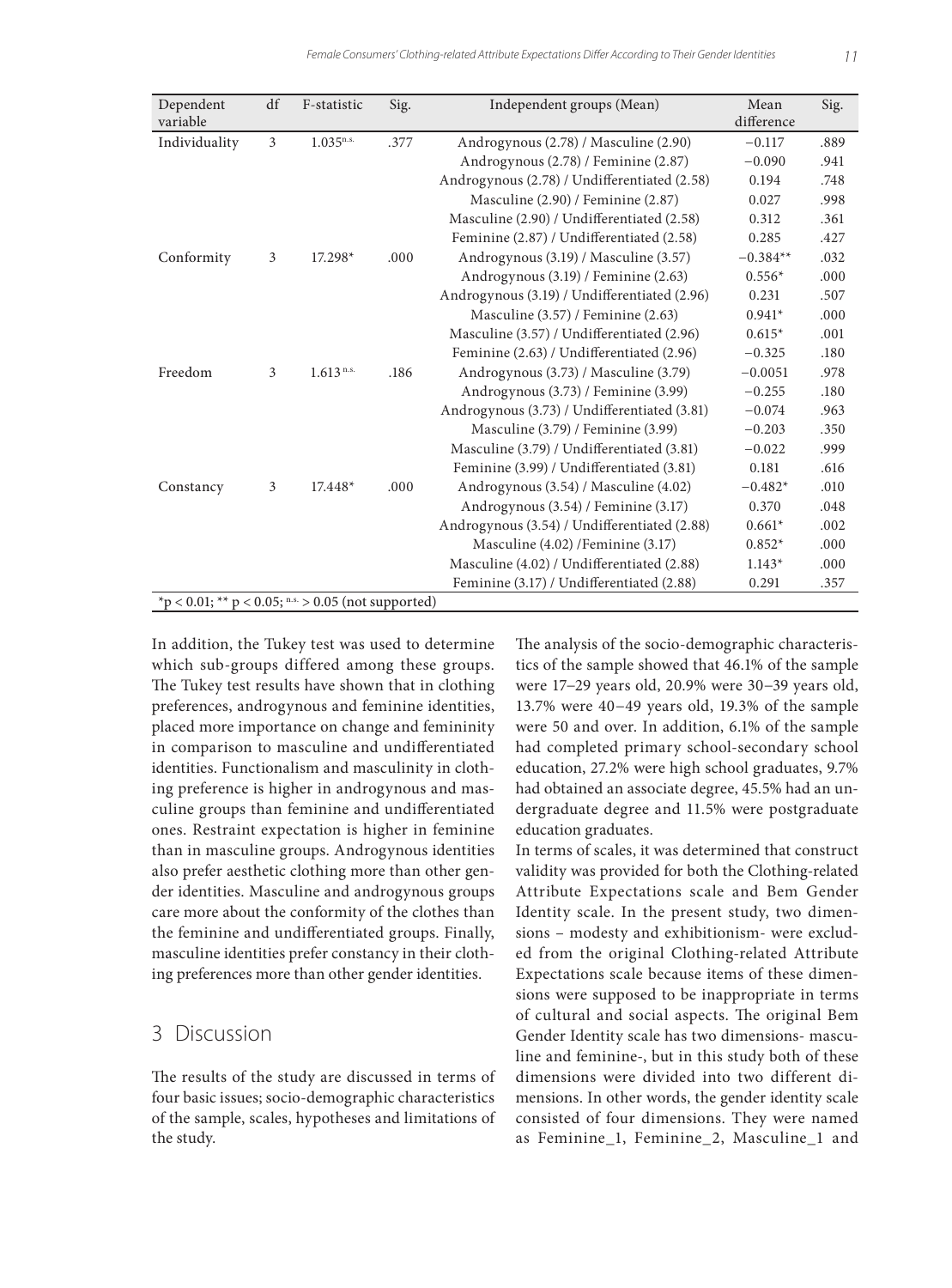| Dependent                                           | df | F-statistic             | Sig. | Independent groups (Mean)                    | Mean       | Sig. |
|-----------------------------------------------------|----|-------------------------|------|----------------------------------------------|------------|------|
| variable                                            |    |                         |      |                                              | difference |      |
| Individuality                                       | 3  | $1.035^{n.s.}$          | .377 | Androgynous (2.78) / Masculine (2.90)        | $-0.117$   | .889 |
|                                                     |    |                         |      | Androgynous (2.78) / Feminine (2.87)         | $-0.090$   | .941 |
|                                                     |    |                         |      | Androgynous (2.78) / Undifferentiated (2.58) | 0.194      | .748 |
|                                                     |    |                         |      | Masculine (2.90) / Feminine (2.87)           | 0.027      | .998 |
|                                                     |    |                         |      | Masculine (2.90) / Undifferentiated (2.58)   | 0.312      | .361 |
|                                                     |    |                         |      | Feminine (2.87) / Undifferentiated (2.58)    | 0.285      | .427 |
| Conformity                                          | 3  | 17.298*                 | .000 | Androgynous (3.19) / Masculine (3.57)        | $-0.384**$ | .032 |
|                                                     |    |                         |      | Androgynous (3.19) / Feminine (2.63)         | $0.556*$   | .000 |
|                                                     |    |                         |      | Androgynous (3.19) / Undifferentiated (2.96) | 0.231      | .507 |
|                                                     |    |                         |      | Masculine (3.57) / Feminine (2.63)           | $0.941*$   | .000 |
|                                                     |    |                         |      | Masculine (3.57) / Undifferentiated (2.96)   | $0.615*$   | .001 |
|                                                     |    |                         |      | Feminine (2.63) / Undifferentiated (2.96)    | $-0.325$   | .180 |
| Freedom                                             | 3  | $1.613$ <sup>n.s.</sup> | .186 | Androgynous (3.73) / Masculine (3.79)        | $-0.0051$  | .978 |
|                                                     |    |                         |      | Androgynous (3.73) / Feminine (3.99)         | $-0.255$   | .180 |
|                                                     |    |                         |      | Androgynous (3.73) / Undifferentiated (3.81) | $-0.074$   | .963 |
|                                                     |    |                         |      | Masculine (3.79) / Feminine (3.99)           | $-0.203$   | .350 |
|                                                     |    |                         |      | Masculine (3.79) / Undifferentiated (3.81)   | $-0.022$   | .999 |
|                                                     |    |                         |      | Feminine (3.99) / Undifferentiated (3.81)    | 0.181      | .616 |
| Constancy                                           | 3  | $17.448*$               | .000 | Androgynous (3.54) / Masculine (4.02)        | $-0.482*$  | .010 |
|                                                     |    |                         |      | Androgynous (3.54) / Feminine (3.17)         | 0.370      | .048 |
|                                                     |    |                         |      | Androgynous (3.54) / Undifferentiated (2.88) | $0.661*$   | .002 |
|                                                     |    |                         |      | Masculine (4.02) / Feminine (3.17)           | $0.852*$   | .000 |
|                                                     |    |                         |      | Masculine (4.02) / Undifferentiated (2.88)   | $1.143*$   | .000 |
|                                                     |    |                         |      | Feminine (3.17) / Undifferentiated (2.88)    | 0.291      | .357 |
| *p < 0.01; ** p < 0.05; n.s. > 0.05 (not supported) |    |                         |      |                                              |            |      |

In addition, the Tukey test was used to determine which sub-groups differed among these groups. The Tukey test results have shown that in clothing preferences, androgynous and feminine identities, placed more importance on change and femininity in comparison to masculine and undifferentiated identities. Functionalism and masculinity in clothing preference is higher in androgynous and masculine groups than feminine and undifferentiated ones. Restraint expectation is higher in feminine than in masculine groups. Androgynous identities also prefer aesthetic clothing more than other gender identities. Masculine and androgynous groups care more about the conformity of the clothes than the feminine and undifferentiated groups. Finally, masculine identities prefer constancy in their clothing preferences more than other gender identities.

## 3 Discussion

The results of the study are discussed in terms of four basic issues; socio-demographic characteristics of the sample, scales, hypotheses and limitations of the study.

The analysis of the socio-demographic characteristics of the sample showed that 46.1% of the sample were 17−29 years old, 20.9% were 30−39 years old, 13.7% were 40−49 years old, 19.3% of the sample were 50 and over. In addition, 6.1% of the sample had completed primary school-secondary school education, 27.2% were high school graduates, 9.7% had obtained an associate degree, 45.5% had an undergraduate degree and 11.5% were postgraduate education graduates.

In terms of scales, it was determined that construct validity was provided for both the Clothing-related Attribute Expectations scale and Bem Gender Identity scale. In the present study, two dimensions – modesty and exhibitionism- were excluded from the original Clothing-related Attribute Expectations scale because items of these dimensions were supposed to be inappropriate in terms of cultural and social aspects. The original Bem Gender Identity scale has two dimensions- masculine and feminine-, but in this study both of these dimensions were divided into two different dimensions. In other words, the gender identity scale consisted of four dimensions. They were named as Feminine\_1, Feminine\_2, Masculine\_1 and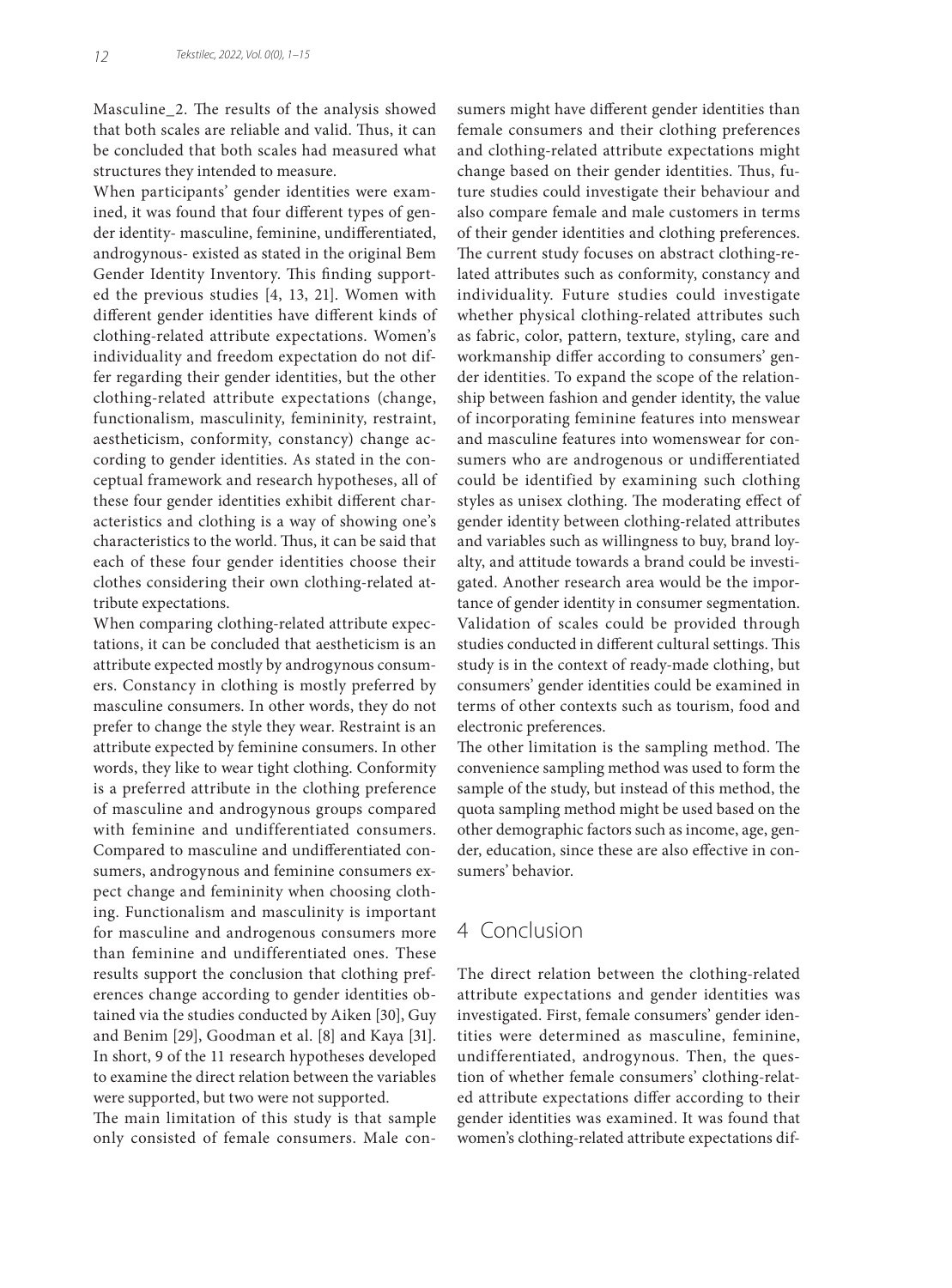Masculine\_2. The results of the analysis showed that both scales are reliable and valid. Thus, it can be concluded that both scales had measured what structures they intended to measure.

When participants' gender identities were examined, it was found that four different types of gender identity- masculine, feminine, undifferentiated, androgynous- existed as stated in the original Bem Gender Identity Inventory. This finding supported the previous studies [4, 13, 21]. Women with different gender identities have different kinds of clothing-related attribute expectations. Women's individuality and freedom expectation do not differ regarding their gender identities, but the other clothing-related attribute expectations (change, functionalism, masculinity, femininity, restraint, aestheticism, conformity, constancy) change according to gender identities. As stated in the conceptual framework and research hypotheses, all of these four gender identities exhibit different characteristics and clothing is a way of showing one's characteristics to the world. Thus, it can be said that each of these four gender identities choose their clothes considering their own clothing-related attribute expectations.

When comparing clothing-related attribute expectations, it can be concluded that aestheticism is an attribute expected mostly by androgynous consumers. Constancy in clothing is mostly preferred by masculine consumers. In other words, they do not prefer to change the style they wear. Restraint is an attribute expected by feminine consumers. In other words, they like to wear tight clothing. Conformity is a preferred attribute in the clothing preference of masculine and androgynous groups compared with feminine and undifferentiated consumers. Compared to masculine and undifferentiated consumers, androgynous and feminine consumers expect change and femininity when choosing clothing. Functionalism and masculinity is important for masculine and androgenous consumers more than feminine and undifferentiated ones. These results support the conclusion that clothing preferences change according to gender identities obtained via the studies conducted by Aiken [30], Guy and Benim [29], Goodman et al. [8] and Kaya [31]. In short, 9 of the 11 research hypotheses developed to examine the direct relation between the variables were supported, but two were not supported.

The main limitation of this study is that sample only consisted of female consumers. Male consumers might have different gender identities than female consumers and their clothing preferences and clothing-related attribute expectations might change based on their gender identities. Thus, future studies could investigate their behaviour and also compare female and male customers in terms of their gender identities and clothing preferences. The current study focuses on abstract clothing-related attributes such as conformity, constancy and individuality. Future studies could investigate whether physical clothing-related attributes such as fabric, color, pattern, texture, styling, care and workmanship differ according to consumers' gender identities. To expand the scope of the relationship between fashion and gender identity, the value of incorporating feminine features into menswear and masculine features into womenswear for consumers who are androgenous or undifferentiated could be identified by examining such clothing styles as unisex clothing. The moderating effect of gender identity between clothing-related attributes and variables such as willingness to buy, brand loyalty, and attitude towards a brand could be investigated. Another research area would be the importance of gender identity in consumer segmentation. Validation of scales could be provided through studies conducted in different cultural settings. This study is in the context of ready-made clothing, but consumers' gender identities could be examined in terms of other contexts such as tourism, food and electronic preferences.

The other limitation is the sampling method. The convenience sampling method was used to form the sample of the study, but instead of this method, the quota sampling method might be used based on the other demographic factors such as income, age, gender, education, since these are also effective in consumers' behavior.

# 4 Conclusion

The direct relation between the clothing-related attribute expectations and gender identities was investigated. First, female consumers' gender identities were determined as masculine, feminine, undifferentiated, androgynous. Then, the question of whether female consumers' clothing-related attribute expectations differ according to their gender identities was examined. It was found that women's clothing-related attribute expectations dif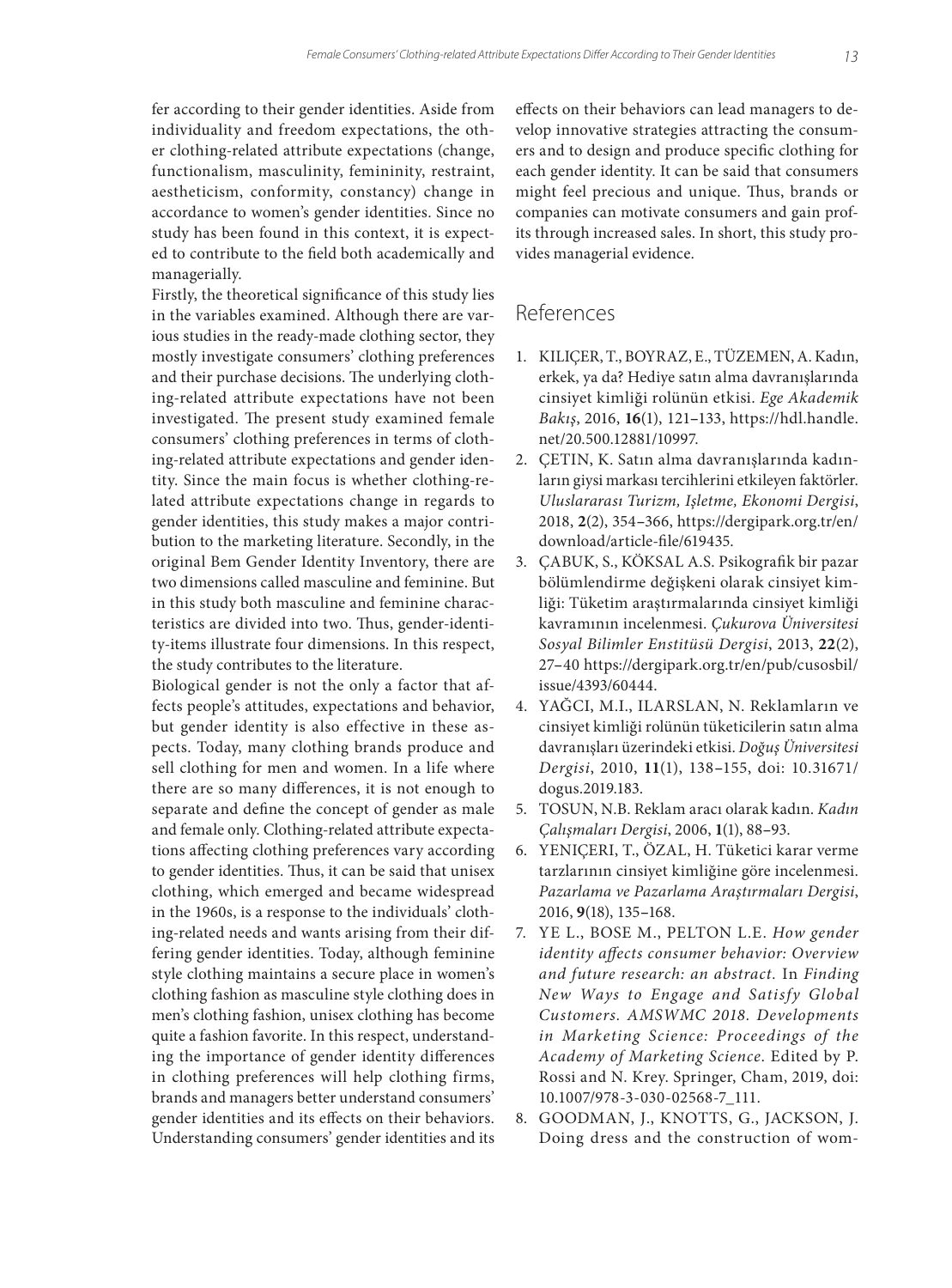fer according to their gender identities. Aside from individuality and freedom expectations, the other clothing-related attribute expectations (change, functionalism, masculinity, femininity, restraint, aestheticism, conformity, constancy) change in accordance to women's gender identities. Since no study has been found in this context, it is expected to contribute to the field both academically and managerially.

Firstly, the theoretical significance of this study lies in the variables examined. Although there are various studies in the ready-made clothing sector, they mostly investigate consumers' clothing preferences and their purchase decisions. The underlying clothing-related attribute expectations have not been investigated. The present study examined female consumers' clothing preferences in terms of clothing-related attribute expectations and gender identity. Since the main focus is whether clothing-related attribute expectations change in regards to gender identities, this study makes a major contribution to the marketing literature. Secondly, in the original Bem Gender Identity Inventory, there are two dimensions called masculine and feminine. But in this study both masculine and feminine characteristics are divided into two. Thus, gender-identity-items illustrate four dimensions. In this respect, the study contributes to the literature.

Biological gender is not the only a factor that affects people's attitudes, expectations and behavior, but gender identity is also effective in these aspects. Today, many clothing brands produce and sell clothing for men and women. In a life where there are so many differences, it is not enough to separate and define the concept of gender as male and female only. Clothing-related attribute expectations affecting clothing preferences vary according to gender identities. Thus, it can be said that unisex clothing, which emerged and became widespread in the 1960s, is a response to the individuals' clothing-related needs and wants arising from their differing gender identities. Today, although feminine style clothing maintains a secure place in women's clothing fashion as masculine style clothing does in men's clothing fashion, unisex clothing has become quite a fashion favorite. In this respect, understanding the importance of gender identity differences in clothing preferences will help clothing firms, brands and managers better understand consumers' gender identities and its effects on their behaviors. Understanding consumers' gender identities and its

effects on their behaviors can lead managers to develop innovative strategies attracting the consumers and to design and produce specific clothing for each gender identity. It can be said that consumers might feel precious and unique. Thus, brands or companies can motivate consumers and gain profits through increased sales. In short, this study provides managerial evidence.

## References

- 1. KILIÇER, T., BOYRAZ, E., TÜZEMEN, A. Kadın, erkek, ya da? Hediye satın alma davranışlarında cinsiyet kimliği rolünün etkisi. *Ege Akademik Bakış*, 2016, **16**(1), 121**–**133, https://hdl.handle. net/20.500.12881/10997.
- 2. ÇETIN, K. Satın alma davranışlarında kadınların giysi markası tercihlerini etkileyen faktörler. *Uluslararası Turizm, Işletme, Ekonomi Dergisi*, 2018, **2**(2), 354**–**366, https://dergipark.org.tr/en/ download/article-file/619435.
- 3. ÇABUK, S., KÖKSAL A.S. Psikografik bir pazar bölümlendirme değişkeni olarak cinsiyet kimliği: Tüketim araştırmalarında cinsiyet kimliği kavramının incelenmesi. *Çukurova Üniversitesi Sosyal Bilimler Enstitüsü Dergisi*, 2013, **22**(2), 27**–**40 https://dergipark.org.tr/en/pub/cusosbil/ issue/4393/60444.
- 4. YAĞCI, M.I., ILARSLAN, N. Reklamların ve cinsiyet kimliği rolünün tüketicilerin satın alma davranışları üzerindeki etkisi. *Doğuş Üniversitesi Dergisi*, 2010, **11**(1), 138**–**155, doi: 10.31671/ dogus.2019.183.
- 5. TOSUN, N.B. Reklam aracı olarak kadın. *Kadın Çalışmaları Dergisi*, 2006, **1**(1), 88**–**93.
- 6. YENIÇERI, T., ÖZAL, H. Tüketici karar verme tarzlarının cinsiyet kimliğine göre incelenmesi. *Pazarlama ve Pazarlama Araştırmaları Dergisi*, 2016, **9**(18), 135**–**168.
- 7. YE L., BOSE M., PELTON L.E. *How gender identity affects consumer behavior: Overview and future research: an abstract.* In *Finding New Ways to Engage and Satisfy Global Customers. AMSWMC 2018. Developments in Marketing Science: Proceedings of the Academy of Marketing Science*. Edited by P. Rossi and N. Krey. Springer, Cham, 2019, doi: 10.1007/978-3-030-02568-7\_111.
- 8. GOODMAN, J., KNOTTS, G., JACKSON, J. Doing dress and the construction of wom-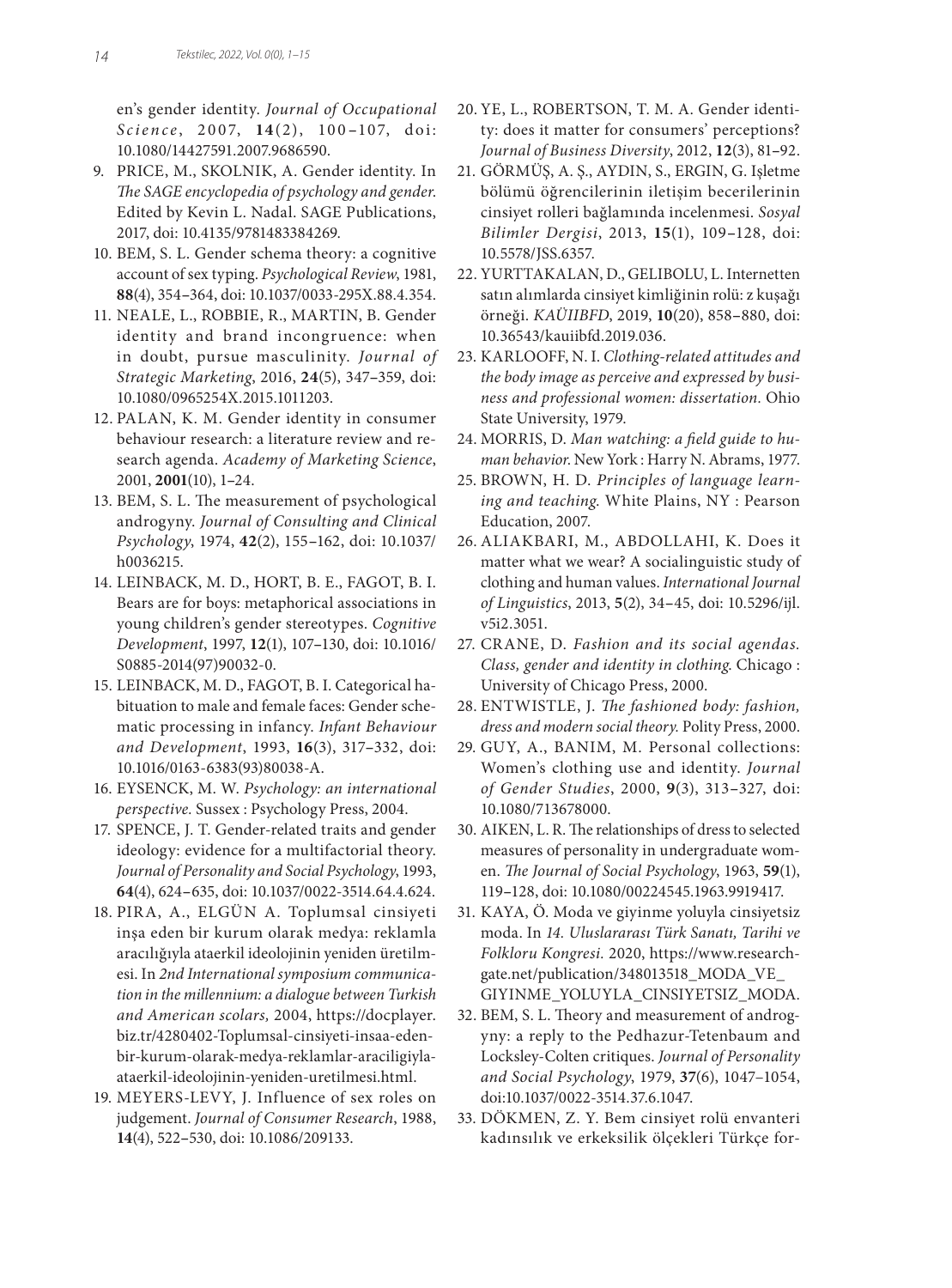en's gender identity. *Journal of Occupational Science* , 2007, **14**(2), 100 **–**10 7, doi : 10.1080/14427591.2007.9686590.

- 9. PRICE, M., SKOLNIK, A. Gender identity. In *The SAGE encyclopedia of psychology and gender*. Edited by Kevin L. Nadal. SAGE Publications, 2017, doi: 10.4135/9781483384269.
- 10. BEM, S. L. Gender schema theory: a cognitive account of sex typing. *Psychological Review*, 1981, **88**(4), 354**–**364, doi: 10.1037/0033-295X.88.4.354.
- 11. NEALE, L., ROBBIE, R., MARTIN, B. Gender identity and brand incongruence: when in doubt, pursue masculinity. *Journal of Strategic Marketing*, 2016, **24**(5), 347**–**359, doi: 10.1080/0965254X.2015.1011203.
- 12. PALAN, K. M. Gender identity in consumer behaviour research: a literature review and research agenda. *Academy of Marketing Science*, 2001, **2001**(10), 1**–**24.
- 13. BEM, S. L. The measurement of psychological androgyny. *Journal of Consulting and Clinical Psychology*, 1974, **42**(2), 155**–**162, doi: 10.1037/ h0036215.
- 14. LEINBACK, M. D., HORT, B. E., FAGOT, B. I. Bears are for boys: metaphorical associations in young children's gender stereotypes. *Cognitive Development*, 1997, **12**(1), 107**–**130, doi: 10.1016/ S0885-2014(97)90032-0.
- 15. LEINBACK, M. D., FAGOT, B. I. Categorical habituation to male and female faces: Gender schematic processing in infancy. *Infant Behaviour and Development*, 1993, **16**(3), 317**–**332, doi: 10.1016/0163-6383(93)80038-A.
- 16. EYSENCK, M. W. *Psychology: an international perspective.* Sussex : Psychology Press, 2004.
- 17. SPENCE, J. T. Gender-related traits and gender ideology: evidence for a multifactorial theory. *Journal of Personality and Social Psychology*, 1993, **64**(4), 624**–**635, doi: 10.1037/0022-3514.64.4.624.
- 18. PIRA, A., ELGÜN A. Toplumsal cinsiyeti inşa eden bir kurum olarak medya: reklamla aracılığıyla ataerkil ideolojinin yeniden üretilmesi. In *2nd International symposium communication in the millennium: a dialogue between Turkish and American scolars,* 2004, https://docplayer. biz.tr/4280402-Toplumsal-cinsiyeti-insaa-edenbir-kurum-olarak-medya-reklamlar-araciligiylaataerkil-ideolojinin-yeniden-uretilmesi.html.
- 19. MEYERS-LEVY, J. Influence of sex roles on judgement. *Journal of Consumer Research*, 1988, **14**(4), 522**–**530, doi: 10.1086/209133.
- 20. YE, L., ROBERTSON, T. M. A. Gender identity: does it matter for consumers' perceptions? *Journal of Business Diversity*, 2012, **12**(3), 81**–**92.
- 21. GÖRMÜŞ, A. Ş., AYDIN, S., ERGIN, G. Işletme bölümü öğrencilerinin iletişim becerilerinin cinsiyet rolleri bağlamında incelenmesi. *Sosyal Bilimler Dergisi*, 2013, **15**(1), 109**–**128, doi: 10.5578/JSS.6357.
- 22. YURTTAKALAN, D., GELIBOLU, L. Internetten satın alımlarda cinsiyet kimliğinin rolü: z kuşağı örneği. *KAÜIIBFD*, 2019, **10**(20), 858**–**880, doi: 10.36543/kauiibfd.2019.036.
- 23. KARLOOFF, N. I. *Clothing-related attitudes and the body image as perceive and expressed by business and professional women: dissertation.* Ohio State University, 1979.
- 24. MORRIS, D. *Man watching: a field guide to human behavior*. New York : Harry N. Abrams, 1977.
- 25. BROWN, H. D. *Principles of language learning and teaching*. White Plains, NY : Pearson Education, 2007.
- 26. ALIAKBARI, M., ABDOLLAHI, K. Does it matter what we wear? A socialinguistic study of clothing and human values. *International Journal of Linguistics*, 2013, **5**(2), 34**–**45, doi: 10.5296/ijl. v5i2.3051.
- 27. CRANE, D. *Fashion and its social agendas. Class, gender and identity in clothing*. Chicago : University of Chicago Press, 2000.
- 28. ENTWISTLE, J. *The fashioned body: fashion, dress and modern social theory.* Polity Press, 2000.
- 29. GUY, A., BANIM, M. Personal collections: Women's clothing use and identity. *Journal of Gender Studies*, 2000, **9**(3), 313**–**327, doi: 10.1080/713678000.
- 30. AIKEN, L. R. The relationships of dress to selected measures of personality in undergraduate women. *The Journal of Social Psychology*, 1963, **59**(1), 119**–**128, doi: 10.1080/00224545.1963.9919417.
- 31. KAYA, Ö. Moda ve giyinme yoluyla cinsiyetsiz moda. In *14. Uluslararası Türk Sanatı, Tarihi ve Folkloru Kongresi.* 2020, https://www.researchgate.net/publication/348013518\_MODA\_VE\_ GIYINME\_YOLUYLA\_CINSIYETSIZ\_MODA.
- 32. BEM, S. L. Theory and measurement of androgyny: a reply to the Pedhazur-Tetenbaum and Locksley-Colten critiques. *Journal of Personality and Social Psychology*, 1979, **37**(6), 1047–1054, doi:10.1037/0022-3514.37.6.1047.
- 33. DÖKMEN, Z. Y. Bem cinsiyet rolü envanteri kadınsılık ve erkeksilik ölçekleri Türkçe for-